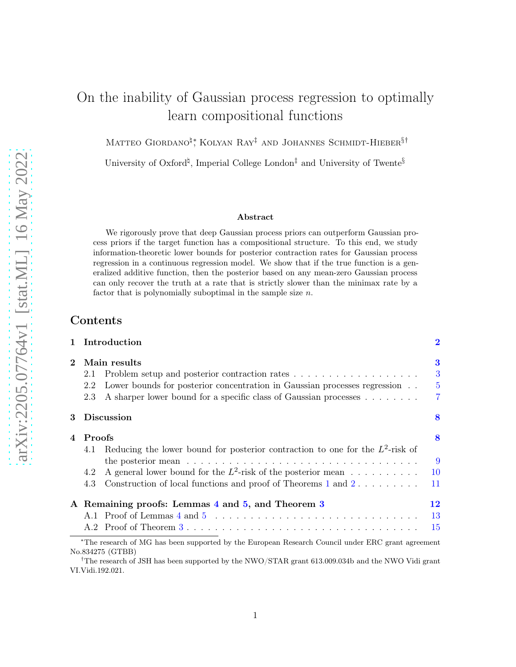# On the inability of Gaussian process regression to optimally learn compositional functions

Matteo Giordano<sup>¤</sup><sup>\*</sup>, Kolyan Ray<sup>‡</sup> and Johannes Schmidt-Hieber<sup>§†</sup>

University of Oxford<sup> $\sharp$ </sup>, Imperial College London<sup> $\ddagger$ </sup> and University of Twente<sup>§</sup>

#### Abstract

We rigorously prove that deep Gaussian process priors can outperform Gaussian process priors if the target function has a compositional structure. To this end, we study information-theoretic lower bounds for posterior contraction rates for Gaussian process regression in a continuous regression model. We show that if the true function is a generalized additive function, then the posterior based on any mean-zero Gaussian process can only recover the truth at a rate that is strictly slower than the minimax rate by a factor that is polynomially suboptimal in the sample size  $n$ .

# Contents

|                             |        | Introduction                                                                                                          | $\bf{2}$       |
|-----------------------------|--------|-----------------------------------------------------------------------------------------------------------------------|----------------|
| $\mathcal{D}_{\mathcal{L}}$ |        | Main results                                                                                                          | 3              |
|                             | 2.1    |                                                                                                                       | 3              |
|                             | 2.2    | Lower bounds for posterior concentration in Gaussian processes regression                                             | $\overline{5}$ |
|                             | 2.3    | A sharper lower bound for a specific class of Gaussian processes                                                      | $\overline{7}$ |
| 3                           |        | <b>Discussion</b>                                                                                                     | 8              |
|                             | Proofs |                                                                                                                       | 8              |
|                             | 4.1    | Reducing the lower bound for posterior contraction to one for the $L^2$ -risk of                                      |                |
|                             |        |                                                                                                                       | 9              |
|                             | 4.2    | A general lower bound for the $L^2$ -risk of the posterior mean                                                       | <b>10</b>      |
|                             | 4.3    | Construction of local functions and proof of Theorems 1 and 2                                                         | 11             |
|                             |        | A Remaining proofs: Lemmas 4 and 5, and Theorem 3                                                                     | 12             |
|                             |        |                                                                                                                       | 13             |
|                             |        |                                                                                                                       | 15             |
|                             |        | *The research of MG has been supported by the European Research Council under ERC grant agreement<br>No.834275 (GTBB) |                |

†The research of JSH has been supported by the NWO/STAR grant 613.009.034b and the NWO Vidi grant VI.Vidi.192.021.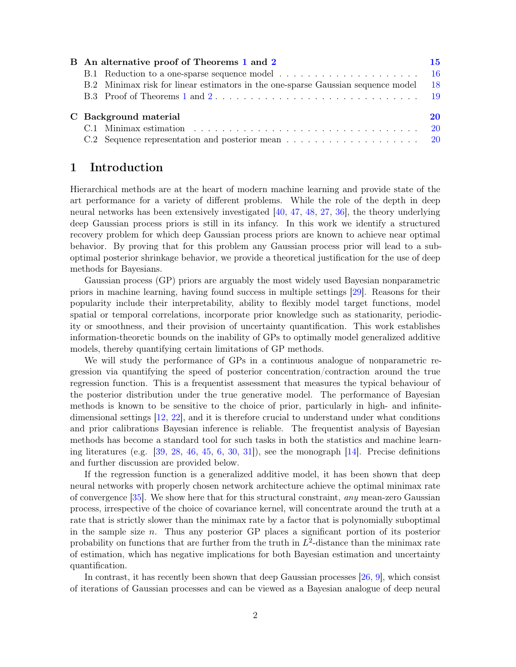|  | B An alternative proof of Theorems 1 and 2                                       | 15   |
|--|----------------------------------------------------------------------------------|------|
|  |                                                                                  |      |
|  | B.2 Minimax risk for linear estimators in the one-sparse Gaussian sequence model | - 18 |
|  |                                                                                  |      |
|  | C Background material                                                            | 20   |
|  |                                                                                  |      |
|  |                                                                                  |      |

# <span id="page-1-0"></span>1 Introduction

Hierarchical methods are at the heart of modern machine learning and provide state of the art performance for a variety of different problems. While the role of the depth in deep neural networks has been extensively investigated [\[40](#page-22-0), [47,](#page-23-0) [48](#page-23-1), [27](#page-22-1), [36](#page-22-2)], the theory underlying deep Gaussian process priors is still in its infancy. In this work we identify a structured recovery problem for which deep Gaussian process priors are known to achieve near optimal behavior. By proving that for this problem any Gaussian process prior will lead to a suboptimal posterior shrinkage behavior, we provide a theoretical justification for the use of deep methods for Bayesians.

Gaussian process (GP) priors are arguably the most widely used Bayesian nonparametric priors in machine learning, having found success in multiple settings [\[29](#page-22-3)]. Reasons for their popularity include their interpretability, ability to flexibly model target functions, model spatial or temporal correlations, incorporate prior knowledge such as stationarity, periodicity or smoothness, and their provision of uncertainty quantification. This work establishes information-theoretic bounds on the inability of GPs to optimally model generalized additive models, thereby quantifying certain limitations of GP methods.

We will study the performance of GPs in a continuous analogue of nonparametric regression via quantifying the speed of posterior concentration/contraction around the true regression function. This is a frequentist assessment that measures the typical behaviour of the posterior distribution under the true generative model. The performance of Bayesian methods is known to be sensitive to the choice of prior, particularly in high- and infinitedimensional settings [\[12,](#page-21-0) [22](#page-21-1)], and it is therefore crucial to understand under what conditions and prior calibrations Bayesian inference is reliable. The frequentist analysis of Bayesian methods has become a standard tool for such tasks in both the statistics and machine learning literatures (e.g.  $\left[39, 28, 46, 45, 6, 30, 31\right]$  $\left[39, 28, 46, 45, 6, 30, 31\right]$  $\left[39, 28, 46, 45, 6, 30, 31\right]$  $\left[39, 28, 46, 45, 6, 30, 31\right]$  $\left[39, 28, 46, 45, 6, 30, 31\right]$  $\left[39, 28, 46, 45, 6, 30, 31\right]$  $\left[39, 28, 46, 45, 6, 30, 31\right]$  $\left[39, 28, 46, 45, 6, 30, 31\right]$  $\left[39, 28, 46, 45, 6, 30, 31\right]$  $\left[39, 28, 46, 45, 6, 30, 31\right]$  $\left[39, 28, 46, 45, 6, 30, 31\right]$ ), see the monograph  $\left[14\right]$ . Precise definitions and further discussion are provided below.

If the regression function is a generalized additive model, it has been shown that deep neural networks with properly chosen network architecture achieve the optimal minimax rate of convergence  $[35]$ . We show here that for this structural constraint, any mean-zero Gaussian process, irrespective of the choice of covariance kernel, will concentrate around the truth at a rate that is strictly slower than the minimax rate by a factor that is polynomially suboptimal in the sample size  $n$ . Thus any posterior GP places a significant portion of its posterior probability on functions that are further from the truth in  $L^2$ -distance than the minimax rate of estimation, which has negative implications for both Bayesian estimation and uncertainty quantification.

In contrast, it has recently been shown that deep Gaussian processes [\[26](#page-22-10), [9](#page-21-4)], which consist of iterations of Gaussian processes and can be viewed as a Bayesian analogue of deep neural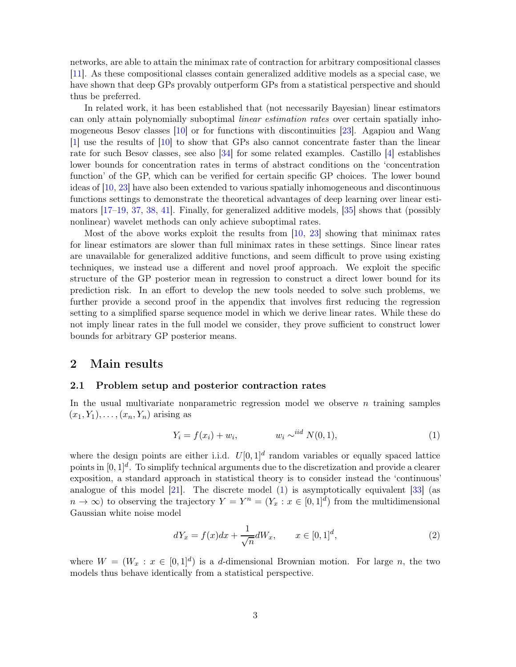networks, are able to attain the minimax rate of contraction for arbitrary compositional classes [\[11](#page-21-5)]. As these compositional classes contain generalized additive models as a special case, we have shown that deep GPs provably outperform GPs from a statistical perspective and should thus be preferred.

In related work, it has been established that (not necessarily Bayesian) linear estimators can only attain polynomially suboptimal linear estimation rates over certain spatially inhomogeneous Besov classes [\[10\]](#page-21-6) or for functions with discontinuities [\[23](#page-21-7)]. Agapiou and Wang [\[1\]](#page-20-0) use the results of [\[10\]](#page-21-6) to show that GPs also cannot concentrate faster than the linear rate for such Besov classes, see also [\[34\]](#page-22-11) for some related examples. Castillo [\[4](#page-20-1)] establishes lower bounds for concentration rates in terms of abstract conditions on the 'concentration function' of the GP, which can be verified for certain specific GP choices. The lower bound ideas of [\[10](#page-21-6), [23\]](#page-21-7) have also been extended to various spatially inhomogeneous and discontinuous functions settings to demonstrate the theoretical advantages of deep learning over linear estimators [\[17](#page-21-8)[–19,](#page-21-9) [37](#page-22-12), [38,](#page-22-13) [41](#page-22-14)]. Finally, for generalized additive models, [\[35](#page-22-9)] shows that (possibly nonlinear) wavelet methods can only achieve suboptimal rates.

Most of the above works exploit the results from [\[10,](#page-21-6) [23](#page-21-7)] showing that minimax rates for linear estimators are slower than full minimax rates in these settings. Since linear rates are unavailable for generalized additive functions, and seem difficult to prove using existing techniques, we instead use a different and novel proof approach. We exploit the specific structure of the GP posterior mean in regression to construct a direct lower bound for its prediction risk. In an effort to develop the new tools needed to solve such problems, we further provide a second proof in the appendix that involves first reducing the regression setting to a simplified sparse sequence model in which we derive linear rates. While these do not imply linear rates in the full model we consider, they prove sufficient to construct lower bounds for arbitrary GP posterior means.

### <span id="page-2-1"></span><span id="page-2-0"></span>2 Main results

#### 2.1 Problem setup and posterior contraction rates

In the usual multivariate nonparametric regression model we observe  $n$  training samples  $(x_1, Y_1), \ldots, (x_n, Y_n)$  arising as

<span id="page-2-2"></span>
$$
Y_i = f(x_i) + w_i, \qquad w_i \sim^{iid} N(0, 1), \qquad (1)
$$

where the design points are either i.i.d.  $U[0, 1]^d$  random variables or equally spaced lattice points in  $[0,1]^d$ . To simplify technical arguments due to the discretization and provide a clearer exposition, a standard approach in statistical theory is to consider instead the 'continuous' analogue of this model  $[21]$ . The discrete model  $(1)$  is asymptotically equivalent  $[33]$  (as  $n \to \infty$ ) to observing the trajectory  $Y = Y^n = (Y_x : x \in [0,1]^d)$  from the multidimensional Gaussian white noise model

<span id="page-2-3"></span>
$$
dY_x = f(x)dx + \frac{1}{\sqrt{n}}dW_x, \qquad x \in [0,1]^d,
$$
\n(2)

where  $W = (W_x : x \in [0,1]^d)$  is a d-dimensional Brownian motion. For large n, the two models thus behave identically from a statistical perspective.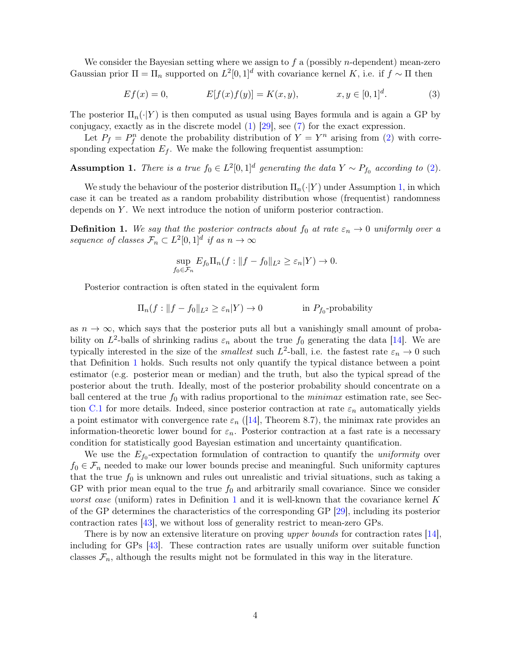We consider the Bayesian setting where we assign to  $f$  a (possibly *n*-dependent) mean-zero Gaussian prior  $\Pi = \Pi_n$  supported on  $L^2[0,1]^d$  with covariance kernel K, i.e. if  $f \sim \Pi$  then

<span id="page-3-2"></span>
$$
Ef(x) = 0,
$$
  $E[f(x)f(y)] = K(x, y),$   $x, y \in [0, 1]^d.$  (3)

The posterior  $\Pi_n(\cdot|Y)$  is then computed as usual using Bayes formula and is again a GP by conjugacy, exactly as in the discrete model [\(1\)](#page-2-2) [\[29](#page-22-3)], see [\(7\)](#page-8-3) for the exact expression.

Let  $P_f = P_f^n$  denote the probability distribution of  $Y = Y^n$  arising from [\(2\)](#page-2-3) with corresponding expectation  $E_f$ . We make the following frequentist assumption:

<span id="page-3-0"></span>**Assumption 1.** There is a true  $f_0 \in L^2[0,1]^d$  generating the data  $Y \sim P_{f_0}$  according to [\(2\)](#page-2-3).

We study the behaviour of the posterior distribution  $\Pi_n(\cdot|Y)$  under Assumption [1,](#page-3-0) in which case it can be treated as a random probability distribution whose (frequentist) randomness depends on  $Y$ . We next introduce the notion of uniform posterior contraction.

<span id="page-3-1"></span>**Definition 1.** We say that the posterior contracts about  $f_0$  at rate  $\varepsilon_n \to 0$  uniformly over a sequence of classes  $\mathcal{F}_n \subset L^2[0,1]^d$  if as  $n \to \infty$ 

$$
\sup_{f_0 \in \mathcal{F}_n} E_{f_0} \Pi_n(f: ||f - f_0||_{L^2} \ge \varepsilon_n |Y) \to 0.
$$

Posterior contraction is often stated in the equivalent form

$$
\Pi_n(f: ||f - f_0||_{L^2} \ge \varepsilon_n|Y) \to 0 \qquad \text{in } P_{f_0}\text{-probability}
$$

as  $n \to \infty$ , which says that the posterior puts all but a vanishingly small amount of probability on  $L^2$ -balls of shrinking radius  $\varepsilon_n$  about the true  $f_0$  generating the data [\[14](#page-21-3)]. We are typically interested in the size of the *smallest* such  $L^2$ -ball, i.e. the fastest rate  $\varepsilon_n \to 0$  such that Definition [1](#page-3-1) holds. Such results not only quantify the typical distance between a point estimator (e.g. posterior mean or median) and the truth, but also the typical spread of the posterior about the truth. Ideally, most of the posterior probability should concentrate on a ball centered at the true  $f_0$  with radius proportional to the *minimax* estimation rate, see Sec-tion [C.1](#page-19-1) for more details. Indeed, since posterior contraction at rate  $\varepsilon_n$  automatically yields a point estimator with convergence rate  $\varepsilon_n$  ([\[14](#page-21-3)], Theorem 8.7), the minimax rate provides an information-theoretic lower bound for  $\varepsilon_n$ . Posterior contraction at a fast rate is a necessary condition for statistically good Bayesian estimation and uncertainty quantification.

We use the  $E_{f_0}$ -expectation formulation of contraction to quantify the *uniformity* over  $f_0 \in \mathcal{F}_n$  needed to make our lower bounds precise and meaningful. Such uniformity captures that the true  $f_0$  is unknown and rules out unrealistic and trivial situations, such as taking a GP with prior mean equal to the true  $f_0$  and arbitrarily small covariance. Since we consider *worst case* (uniform) rates in Definition [1](#page-3-1) and it is well-known that the covariance kernel K of the GP determines the characteristics of the corresponding GP [\[29\]](#page-22-3), including its posterior contraction rates [\[43\]](#page-22-16), we without loss of generality restrict to mean-zero GPs.

There is by now an extensive literature on proving upper bounds for contraction rates [\[14](#page-21-3)], including for GPs [\[43](#page-22-16)]. These contraction rates are usually uniform over suitable function classes  $\mathcal{F}_n$ , although the results might not be formulated in this way in the literature.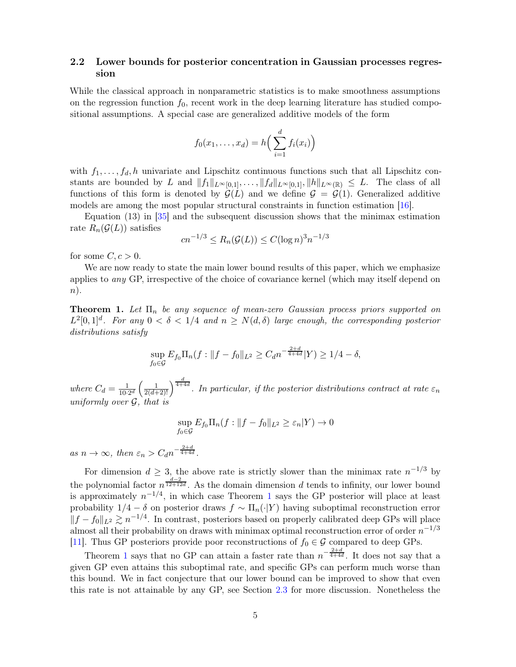### <span id="page-4-0"></span>2.2 Lower bounds for posterior concentration in Gaussian processes regression

While the classical approach in nonparametric statistics is to make smoothness assumptions on the regression function  $f_0$ , recent work in the deep learning literature has studied compositional assumptions. A special case are generalized additive models of the form

$$
f_0(x_1,\ldots,x_d) = h\Big(\sum_{i=1}^d f_i(x_i)\Big)
$$

with  $f_1, \ldots, f_d, h$  univariate and Lipschitz continuous functions such that all Lipschitz constants are bounded by L and  $||f_1||_{L^{\infty}[0,1]}, \ldots, ||f_d||_{L^{\infty}[0,1]}, ||h||_{L^{\infty}(\mathbb{R})} \leq L$ . The class of all functions of this form is denoted by  $\mathcal{G}(L)$  and we define  $\mathcal{G} = \mathcal{G}(1)$ . Generalized additive models are among the most popular structural constraints in function estimation [\[16\]](#page-21-11).

Equation (13) in [\[35\]](#page-22-9) and the subsequent discussion shows that the minimax estimation rate  $R_n(\mathcal{G}(L))$  satisfies

$$
cn^{-1/3} \le R_n(\mathcal{G}(L)) \le C(\log n)^3 n^{-1/3}
$$

for some  $C, c > 0$ .

We are now ready to state the main lower bound results of this paper, which we emphasize applies to any GP, irrespective of the choice of covariance kernel (which may itself depend on  $n$ ).

<span id="page-4-1"></span>**Theorem 1.** Let  $\Pi_n$  be any sequence of mean-zero Gaussian process priors supported on  $L^2[0,1]^d$ . For any  $0 < \delta < 1/4$  and  $n \ge N(d,\delta)$  large enough, the corresponding posterior distributions satisfy

$$
\sup_{f_0 \in \mathcal{G}} E_{f_0} \Pi_n(f: \|f - f_0\|_{L^2} \ge C_d n^{-\frac{2+d}{4+4d}} |Y) \ge 1/4 - \delta,
$$

where  $C_d = \frac{1}{10\cdot 2^d} \left( \frac{1}{2(d+2)!} \right)^{\frac{d}{4+4d}}$ . In particular, if the posterior distributions contract at rate  $\varepsilon_n$ uniformly over G, that is

$$
\sup_{f_0 \in \mathcal{G}} E_{f_0} \Pi_n(f: ||f - f_0||_{L^2} \ge \varepsilon_n |Y) \to 0
$$

as  $n \to \infty$ , then  $\varepsilon_n > C_d n^{-\frac{2+d}{4+4d}}$ .

For dimension  $d \geq 3$ , the above rate is strictly slower than the minimax rate  $n^{-1/3}$  by the polynomial factor  $n^{\frac{d-2}{12+12d}}$ . As the domain dimension d tends to infinity, our lower bound is approximately  $n^{-1/4}$  $n^{-1/4}$  $n^{-1/4}$ , in which case Theorem 1 says the GP posterior will place at least probability  $1/4 - \delta$  on posterior draws  $f \sim \Pi_n(\cdot|Y)$  having suboptimal reconstruction error  $||f - f_0||_{L^2} \gtrsim n^{-1/4}$ . In contrast, posteriors based on properly calibrated deep GPs will place almost all their probability on draws with minimax optimal reconstruction error of order  $n^{-1/3}$ [\[11](#page-21-5)]. Thus GP posteriors provide poor reconstructions of  $f_0 \in \mathcal{G}$  compared to deep GPs.

Theorem [1](#page-4-1) says that no GP can attain a faster rate than  $n^{-\frac{2+d}{4+4d}}$ . It does not say that a given GP even attains this suboptimal rate, and specific GPs can perform much worse than this bound. We in fact conjecture that our lower bound can be improved to show that even this rate is not attainable by any GP, see Section [2.3](#page-6-0) for more discussion. Nonetheless the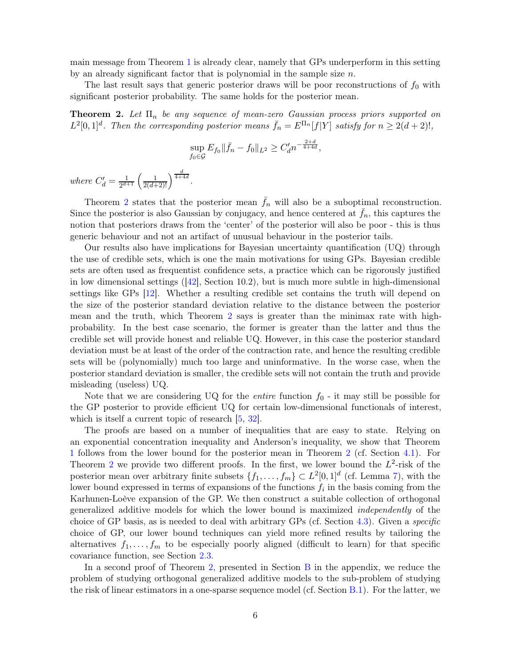main message from Theorem [1](#page-4-1) is already clear, namely that GPs underperform in this setting by an already significant factor that is polynomial in the sample size  $n$ .

The last result says that generic posterior draws will be poor reconstructions of  $f_0$  with significant posterior probability. The same holds for the posterior mean.

<span id="page-5-0"></span>**Theorem 2.** Let  $\Pi_n$  be any sequence of mean-zero Gaussian process priors supported on  $L^2[0,1]^d$ . Then the corresponding posterior means  $\bar{f}_n = E^{\Pi_n}[f|Y]$  satisfy for  $n \geq 2(d+2)!$ ,

$$
\sup_{f_0 \in \mathcal{G}} E_{f_0} \|\bar{f}_n - f_0\|_{L^2} \ge C_d' n^{-\frac{2+d}{4+4d}},
$$

where  $C'_d = \frac{1}{2^{d+1}} \left( \frac{1}{2(d+2)!} \right)^{\frac{d}{4+4d}}$ .

Theorem [2](#page-5-0) states that the posterior mean  $\bar{f}_n$  will also be a suboptimal reconstruction. Since the posterior is also Gaussian by conjugacy, and hence centered at  $f_n$ , this captures the notion that posteriors draws from the 'center' of the posterior will also be poor - this is thus generic behaviour and not an artifact of unusual behaviour in the posterior tails.

Our results also have implications for Bayesian uncertainty quantification (UQ) through the use of credible sets, which is one the main motivations for using GPs. Bayesian credible sets are often used as frequentist confidence sets, a practice which can be rigorously justified in low dimensional settings  $(42)$ , Section 10.2), but is much more subtle in high-dimensional settings like GPs [\[12\]](#page-21-0). Whether a resulting credible set contains the truth will depend on the size of the posterior standard deviation relative to the distance between the posterior mean and the truth, which Theorem [2](#page-5-0) says is greater than the minimax rate with highprobability. In the best case scenario, the former is greater than the latter and thus the credible set will provide honest and reliable UQ. However, in this case the posterior standard deviation must be at least of the order of the contraction rate, and hence the resulting credible sets will be (polynomially) much too large and uninformative. In the worse case, when the posterior standard deviation is smaller, the credible sets will not contain the truth and provide misleading (useless) UQ.

Note that we are considering UQ for the *entire* function  $f_0$  - it may still be possible for the GP posterior to provide efficient UQ for certain low-dimensional functionals of interest, which is itself a current topic of research  $[5, 32]$  $[5, 32]$  $[5, 32]$ .

The proofs are based on a number of inequalities that are easy to state. Relying on an exponential concentration inequality and Anderson's inequality, we show that Theorem [1](#page-4-1) follows from the lower bound for the posterior mean in Theorem [2](#page-5-0) (cf. Section [4.1\)](#page-8-0). For Theorem [2](#page-5-0) we provide two different proofs. In the first, we lower bound the  $L^2$ -risk of the posterior mean over arbitrary finite subsets  $\{f_1, \ldots, f_m\} \subset L^2[0,1]^d$  (cf. Lemma [7\)](#page-9-1), with the lower bound expressed in terms of expansions of the functions  $f_i$  in the basis coming from the Karhunen-Loève expansion of the GP. We then construct a suitable collection of orthogonal generalized additive models for which the lower bound is maximized independently of the choice of GP basis, as is needed to deal with arbitrary GPs (cf. Section [4.3\)](#page-10-0). Given a specific choice of GP, our lower bound techniques can yield more refined results by tailoring the alternatives  $f_1, \ldots, f_m$  to be especially poorly aligned (difficult to learn) for that specific covariance function, see Section [2.3.](#page-6-0)

In a second proof of Theorem [2,](#page-5-0) presented in Section [B](#page-14-1) in the appendix, we reduce the problem of studying orthogonal generalized additive models to the sub-problem of studying the risk of linear estimators in a one-sparse sequence model (cf. Section [B.1\)](#page-15-0). For the latter, we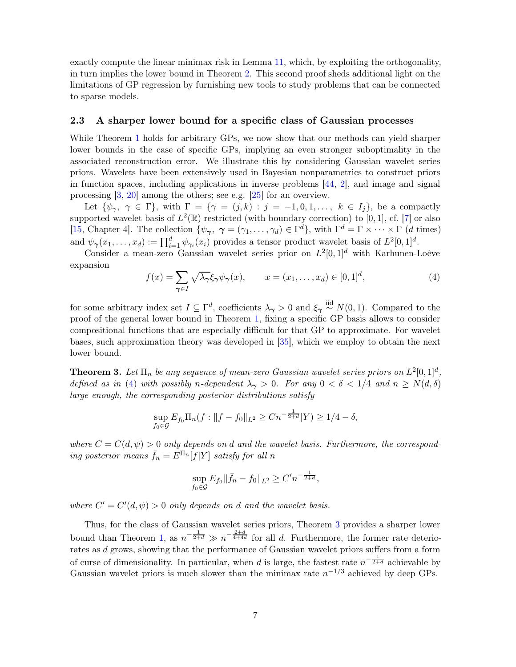exactly compute the linear minimax risk in Lemma [11,](#page-18-1) which, by exploiting the orthogonality, in turn implies the lower bound in Theorem [2.](#page-5-0) This second proof sheds additional light on the limitations of GP regression by furnishing new tools to study problems that can be connected to sparse models.

### <span id="page-6-0"></span>2.3 A sharper lower bound for a specific class of Gaussian processes

While Theorem [1](#page-4-1) holds for arbitrary GPs, we now show that our methods can yield sharper lower bounds in the case of specific GPs, implying an even stronger suboptimality in the associated reconstruction error. We illustrate this by considering Gaussian wavelet series priors. Wavelets have been extensively used in Bayesian nonparametrics to construct priors in function spaces, including applications in inverse problems  $[44, 2]$  $[44, 2]$  $[44, 2]$ , and image and signal processing [\[3](#page-20-4), [20](#page-21-12)] among the others; see e.g. [\[25\]](#page-21-13) for an overview.

Let  $\{\psi_\gamma, \gamma \in \Gamma\}$ , with  $\Gamma = \{\gamma = (j,k) : j = -1,0,1,\ldots, k \in I_j\}$ , be a compactly supported wavelet basis of  $L^2(\mathbb{R})$  restricted (with boundary correction) to [0, 1], cf. [\[7](#page-21-14)] or also [\[15](#page-21-15), Chapter 4]. The collection  $\{\psi_{\gamma}, \gamma = (\gamma_1, \dots, \gamma_d) \in \Gamma^d\}$ , with  $\Gamma^d = \Gamma \times \dots \times \Gamma$  (*d* times) and  $\psi_{\gamma}(x_1,\ldots,x_d) := \prod_{i=1}^d \psi_{\gamma_i}(x_i)$  provides a tensor product wavelet basis of  $L^2[0,1]^d$ .

Consider a mean-zero Gaussian wavelet series prior on  $L^2[0,1]^d$  with Karhunen-Loève expansion

<span id="page-6-2"></span>
$$
f(x) = \sum_{\gamma \in I} \sqrt{\lambda_{\gamma}} \xi_{\gamma} \psi_{\gamma}(x), \qquad x = (x_1, \dots, x_d) \in [0, 1]^d,
$$
 (4)

for some arbitrary index set  $I \subseteq \Gamma^d$ , coefficients  $\lambda_{\gamma} > 0$  and  $\xi_{\gamma} \stackrel{\text{iid}}{\sim} N(0, 1)$ . Compared to the proof of the general lower bound in Theorem [1,](#page-4-1) fixing a specific GP basis allows to consider compositional functions that are especially difficult for that GP to approximate. For wavelet bases, such approximation theory was developed in [\[35\]](#page-22-9), which we employ to obtain the next lower bound.

<span id="page-6-1"></span>**Theorem 3.** Let  $\Pi_n$  be any sequence of mean-zero Gaussian wavelet series priors on  $L^2[0,1]^d$ , defined as in [\(4\)](#page-6-2) with possibly n-dependent  $\lambda_{\gamma} > 0$ . For any  $0 < \delta < 1/4$  and  $n \ge N(d, \delta)$ large enough, the corresponding posterior distributions satisfy

$$
\sup_{f_0 \in \mathcal{G}} E_{f_0} \Pi_n(f: \|f - f_0\|_{L^2} \ge Cn^{-\frac{1}{2+d}} |Y) \ge 1/4 - \delta,
$$

where  $C = C(d, \psi) > 0$  only depends on d and the wavelet basis. Furthermore, the corresponding posterior means  $\bar{f}_n = E^{\Pi_n}[f|Y]$  satisfy for all n

$$
\sup_{f_0 \in \mathcal{G}} E_{f_0} \|\bar{f}_n - f_0\|_{L^2} \ge C' n^{-\frac{1}{2+d}},
$$

where  $C' = C'(d, \psi) > 0$  only depends on d and the wavelet basis.

Thus, for the class of Gaussian wavelet series priors, Theorem [3](#page-6-1) provides a sharper lower bound than Theorem [1,](#page-4-1) as  $n^{-\frac{1}{2+d}} \gg n^{-\frac{2+d}{4+4d}}$  for all d. Furthermore, the former rate deteriorates as d grows, showing that the performance of Gaussian wavelet priors suffers from a form of curse of dimensionality. In particular, when d is large, the fastest rate  $n^{-\frac{1}{2+d}}$  achievable by Gaussian wavelet priors is much slower than the minimax rate  $n^{-1/3}$  achieved by deep GPs.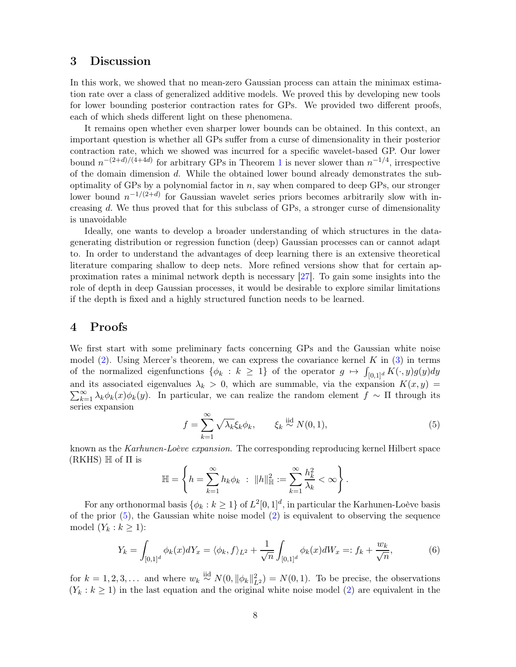# <span id="page-7-0"></span>3 Discussion

In this work, we showed that no mean-zero Gaussian process can attain the minimax estimation rate over a class of generalized additive models. We proved this by developing new tools for lower bounding posterior contraction rates for GPs. We provided two different proofs, each of which sheds different light on these phenomena.

It remains open whether even sharper lower bounds can be obtained. In this context, an important question is whether all GPs suffer from a curse of dimensionality in their posterior contraction rate, which we showed was incurred for a specific wavelet-based GP. Our lower bound  $n^{-(2+d)/(4+4d)}$  for arbitrary GPs in Theorem [1](#page-4-1) is never slower than  $n^{-1/4}$ , irrespective of the domain dimension d. While the obtained lower bound already demonstrates the suboptimality of GPs by a polynomial factor in  $n$ , say when compared to deep GPs, our stronger lower bound  $n^{-1/(2+d)}$  for Gaussian wavelet series priors becomes arbitrarily slow with increasing d. We thus proved that for this subclass of GPs, a stronger curse of dimensionality is unavoidable

Ideally, one wants to develop a broader understanding of which structures in the datagenerating distribution or regression function (deep) Gaussian processes can or cannot adapt to. In order to understand the advantages of deep learning there is an extensive theoretical literature comparing shallow to deep nets. More refined versions show that for certain approximation rates a minimal network depth is necessary [\[27\]](#page-22-1). To gain some insights into the role of depth in deep Gaussian processes, it would be desirable to explore similar limitations if the depth is fixed and a highly structured function needs to be learned.

## <span id="page-7-1"></span>4 Proofs

We first start with some preliminary facts concerning GPs and the Gaussian white noise model [\(2\)](#page-2-3). Using Mercer's theorem, we can express the covariance kernel K in  $(3)$  in terms of the normalized eigenfunctions  $\{\phi_k : k \geq 1\}$  of the operator  $g \mapsto \int_{[0,1]^d} K(\cdot, y)g(y)dy$ and its associated eigenvalues  $\lambda_k > 0$ , which are summable, via the expansion  $K(x, y) =$  $\sum_{k=1}^{\infty} \lambda_k \phi_k(x) \phi_k(y)$ . In particular, we can realize the random element  $f \sim \Pi$  through its series expansion

<span id="page-7-2"></span>
$$
f = \sum_{k=1}^{\infty} \sqrt{\lambda_k} \xi_k \phi_k, \qquad \xi_k \stackrel{\text{iid}}{\sim} N(0, 1), \tag{5}
$$

known as the Karhunen-Loève expansion. The corresponding reproducing kernel Hilbert space  $(RKHS) \mathbb{H}$  of  $\Pi$  is

$$
\mathbb{H} = \left\{ h = \sum_{k=1}^{\infty} h_k \phi_k \; : \; \|h\|_{\mathbb{H}}^2 := \sum_{k=1}^{\infty} \frac{h_k^2}{\lambda_k} < \infty \right\}.
$$

For any orthonormal basis  $\{\phi_k : k \ge 1\}$  of  $L^2[0,1]^d$ , in particular the Karhunen-Loève basis of the prior  $(5)$ , the Gaussian white noise model  $(2)$  is equivalent to observing the sequence model  $(Y_k : k \geq 1)$ :

<span id="page-7-3"></span>
$$
Y_k = \int_{[0,1]^d} \phi_k(x) dY_x = \langle \phi_k, f \rangle_{L^2} + \frac{1}{\sqrt{n}} \int_{[0,1]^d} \phi_k(x) dW_x =: f_k + \frac{w_k}{\sqrt{n}},\tag{6}
$$

for  $k = 1, 2, 3, \ldots$  and where  $w_k \stackrel{\text{iid}}{\sim} N(0, ||\phi_k||_{L^2}^2) = N(0, 1)$ . To be precise, the observations  $(Y_k : k \geq 1)$  in the last equation and the original white noise model [\(2\)](#page-2-3) are equivalent in the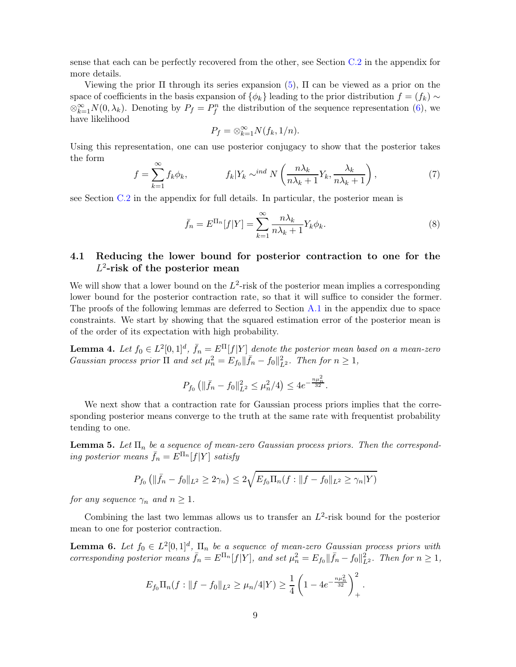sense that each can be perfectly recovered from the other, see Section [C.2](#page-19-2) in the appendix for more details.

Viewing the prior  $\Pi$  through its series expansion [\(5\)](#page-7-2),  $\Pi$  can be viewed as a prior on the space of coefficients in the basis expansion of  $\{\phi_k\}$  leading to the prior distribution  $f = (f_k) \sim$  $\otimes_{k=1}^{\infty} N(0, \lambda_k)$ . Denoting by  $P_f = P_f^n$  the distribution of the sequence representation [\(6\)](#page-7-3), we have likelihood

<span id="page-8-5"></span>
$$
P_f = \otimes_{k=1}^{\infty} N(f_k, 1/n).
$$

Using this representation, one can use posterior conjugacy to show that the posterior takes the form

<span id="page-8-3"></span>
$$
f = \sum_{k=1}^{\infty} f_k \phi_k, \qquad f_k | Y_k \sim^{ind} N\left(\frac{n\lambda_k}{n\lambda_k + 1} Y_k, \frac{\lambda_k}{n\lambda_k + 1}\right), \tag{7}
$$

see Section [C.2](#page-19-2) in the appendix for full details. In particular, the posterior mean is

$$
\bar{f}_n = E^{\Pi_n}[f|Y] = \sum_{k=1}^{\infty} \frac{n\lambda_k}{n\lambda_k + 1} Y_k \phi_k.
$$
\n(8)

# <span id="page-8-0"></span>4.1 Reducing the lower bound for posterior contraction to one for the  $L^2$ -risk of the posterior mean

We will show that a lower bound on the  $L^2$ -risk of the posterior mean implies a corresponding lower bound for the posterior contraction rate, so that it will suffice to consider the former. The proofs of the following lemmas are deferred to Section [A.1](#page-12-0) in the appendix due to space constraints. We start by showing that the squared estimation error of the posterior mean is of the order of its expectation with high probability.

<span id="page-8-1"></span>**Lemma 4.** Let  $f_0 \in L^2[0,1]^d$ ,  $\bar{f}_n = E^{\Pi}[f|Y]$  denote the posterior mean based on a mean-zero Gaussian process prior  $\Pi$  and set  $\mu_n^2 = E_{f_0} \|\bar{f}_n - f_0\|_{L^2}^2$ . Then for  $n \geq 1$ ,

$$
P_{f_0}\left(\|\bar{f}_n - f_0\|_{L^2}^2 \le \mu_n^2/4\right) \le 4e^{-\frac{n\mu_n^2}{32}}.
$$

We next show that a contraction rate for Gaussian process priors implies that the corresponding posterior means converge to the truth at the same rate with frequentist probability tending to one.

<span id="page-8-2"></span>**Lemma 5.** Let  $\Pi_n$  be a sequence of mean-zero Gaussian process priors. Then the corresponding posterior means  $\bar{f}_n = E^{\Pi_n}[f|Y]$  satisfy

$$
P_{f_0} \left( \| \bar{f}_n - f_0 \|_{L^2} \ge 2\gamma_n \right) \le 2\sqrt{E_{f_0} \Pi_n(f: \|f - f_0\|_{L^2} \ge \gamma_n|Y)}
$$

for any sequence  $\gamma_n$  and  $n \geq 1$ .

Combining the last two lemmas allows us to transfer an  $L^2$ -risk bound for the posterior mean to one for posterior contraction.

<span id="page-8-4"></span>**Lemma 6.** Let  $f_0 \in L^2[0,1]^d$ ,  $\Pi_n$  be a sequence of mean-zero Gaussian process priors with corresponding posterior means  $\bar{f}_n = E^{\Pi_n}[f|Y]$ , and set  $\mu_n^2 = E_{f_0} \|\bar{f}_n - f_0\|_{L^2}^2$ . Then for  $n \ge 1$ ,

$$
E_{f_0} \Pi_n(f: ||f - f_0||_{L^2} \ge \mu_n/4|Y) \ge \frac{1}{4} \left( 1 - 4e^{-\frac{n\mu_n^2}{32}} \right)_+^2
$$

.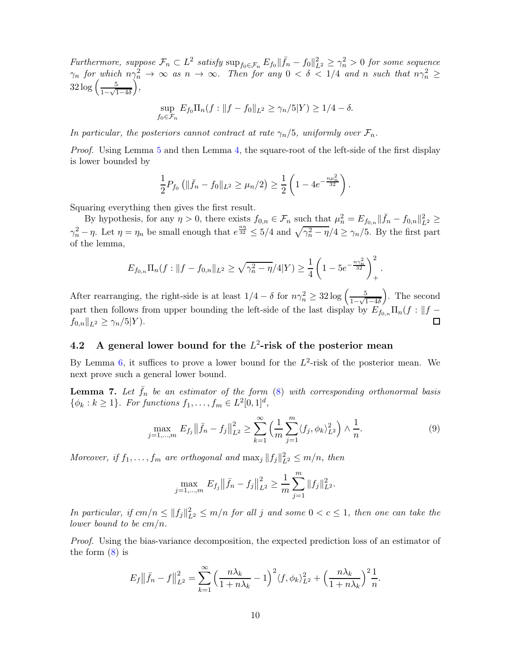Furthermore, suppose  $\mathcal{F}_n \subset L^2$  satisfy  $\sup_{f_0 \in \mathcal{F}_n} E_{f_0} \|\bar{f}_n - f_0\|_{L^2}^2 \geq \gamma_n^2 > 0$  for some sequence  $\gamma_n$  for which  $n\gamma_n^2 \to \infty$  as  $n \to \infty$ . Then for any  $0 < \delta < 1/4$  and n such that  $n\gamma_n^2 \geq$  $32 \log \left( \frac{5}{1.1} \right)$  $1-\sqrt{1-4\delta}$  $\int$ ,

$$
\sup_{f_0 \in \mathcal{F}_n} E_{f_0} \Pi_n(f: ||f - f_0||_{L^2} \ge \gamma_n/5|Y) \ge 1/4 - \delta.
$$

In particular, the posteriors cannot contract at rate  $\gamma_n/5$ , uniformly over  $\mathcal{F}_n$ .

Proof. Using Lemma [5](#page-8-2) and then Lemma [4,](#page-8-1) the square-root of the left-side of the first display is lower bounded by

$$
\frac{1}{2}P_{f_0}\left(\|\bar{f}_n - f_0\|_{L^2} \ge \mu_n/2\right) \ge \frac{1}{2}\left(1 - 4e^{-\frac{n\mu_n^2}{32}}\right).
$$

Squaring everything then gives the first result.

By hypothesis, for any  $\eta > 0$ , there exists  $f_{0,n} \in \mathcal{F}_n$  such that  $\mu_n^2 = E_{f_{0,n}} || \bar{f}_n - f_{0,n} ||_{L^2}^2 \ge$  $\gamma_n^2 - \eta$ . Let  $\eta = \eta_n$  be small enough that  $e^{\frac{n\eta}{32}} \leq 5/4$  and  $\sqrt{\gamma_n^2 - \eta}/4 \geq \gamma_n/5$ . By the first part of the lemma,

$$
E_{f_{0,n}} \Pi_n(f: \|f - f_{0,n}\|_{L^2} \ge \sqrt{\gamma_n^2 - \eta}/4|Y) \ge \frac{1}{4} \left(1 - 5e^{-\frac{n\gamma_n^2}{32}}\right)_+^2.
$$

After rearranging, the right-side is at least  $1/4 - \delta$  for  $n\gamma_n^2 \geq 32 \log \left( \frac{5}{1-\sqrt{1-\delta}} \right)$  $1-\sqrt{1-4\delta}$  . The second part then follows from upper bounding the left-side of the last display by  $E_{f_{0,n}} \Pi_n(f : ||f - f_{0,n}||_{L^2} > \gamma_n/5|Y)$ .  $f_{0,n}||_{L^2} \geq \gamma_n/5|Y|$ .

# <span id="page-9-0"></span>4.2 A general lower bound for the  $L^2$ -risk of the posterior mean

By Lemma [6,](#page-8-4) it suffices to prove a lower bound for the  $L^2$ -risk of the posterior mean. We next prove such a general lower bound.

<span id="page-9-1"></span>**Lemma 7.** Let  $f_n$  be an estimator of the form  $(8)$  with corresponding orthonormal basis  $\{\phi_k : k \ge 1\}$ . For functions  $f_1, \ldots, f_m \in L^2[0,1]^d$ ,

$$
\max_{j=1,\dots,m} E_{f_j} || \bar{f}_n - f_j ||_{L^2}^2 \ge \sum_{k=1}^{\infty} \left( \frac{1}{m} \sum_{j=1}^m \langle f_j, \phi_k \rangle_{L^2}^2 \right) \wedge \frac{1}{n}.
$$
 (9)

Moreover, if  $f_1, \ldots, f_m$  are orthogonal and  $\max_j ||f_j||_{L^2}^2 \leq m/n$ , then

<span id="page-9-2"></span>
$$
\max_{j=1,\dots,m} E_{f_j} || \bar{f}_n - f_j ||_{L^2}^2 \ge \frac{1}{m} \sum_{j=1}^m ||f_j||_{L^2}^2.
$$

In particular, if  $cm/n \leq ||f_j||_{L^2}^2 \leq m/n$  for all j and some  $0 < c \leq 1$ , then one can take the lower bound to be  $cm/n$ .

Proof. Using the bias-variance decomposition, the expected prediction loss of an estimator of the form  $(8)$  is

$$
E_f \|\bar{f}_n - f\|_{L^2}^2 = \sum_{k=1}^{\infty} \left(\frac{n\lambda_k}{1 + n\lambda_k} - 1\right)^2 \langle f, \phi_k \rangle_{L^2}^2 + \left(\frac{n\lambda_k}{1 + n\lambda_k}\right)^2 \frac{1}{n}.
$$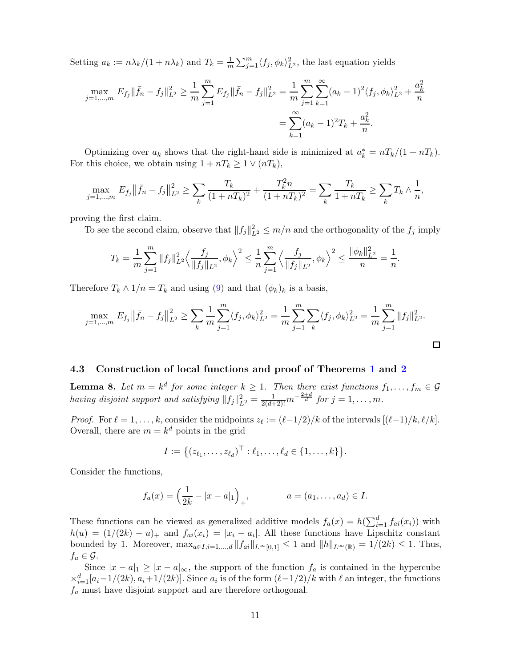Setting  $a_k := n \lambda_k / (1 + n \lambda_k)$  and  $T_k = \frac{1}{m}$  $\frac{1}{m} \sum_{j=1}^{m} \langle f_j, \phi_k \rangle_{L^2}^2$ , the last equation yields

$$
\max_{j=1,\dots,m} E_{f_j} \|\bar{f}_n - f_j\|_{L^2}^2 \ge \frac{1}{m} \sum_{j=1}^m E_{f_j} \|\bar{f}_n - f_j\|_{L^2}^2 = \frac{1}{m} \sum_{j=1}^m \sum_{k=1}^\infty (a_k - 1)^2 \langle f_j, \phi_k \rangle_{L^2}^2 + \frac{a_k^2}{n}
$$

$$
= \sum_{k=1}^\infty (a_k - 1)^2 T_k + \frac{a_k^2}{n}.
$$

Optimizing over  $a_k$  shows that the right-hand side is minimized at  $a_k^* = nT_k/(1 + nT_k)$ . For this choice, we obtain using  $1 + nT_k \geq 1 \vee (nT_k)$ ,

$$
\max_{j=1,\dots,m} E_{f_j} || \bar{f}_n - f_j ||_{L^2}^2 \ge \sum_k \frac{T_k}{(1 + nT_k)^2} + \frac{T_k^2 n}{(1 + nT_k)^2} = \sum_k \frac{T_k}{1 + nT_k} \ge \sum_k T_k \wedge \frac{1}{n},
$$

proving the first claim.

To see the second claim, observe that  $||f_j||_{L^2}^2 \le m/n$  and the orthogonality of the  $f_j$  imply

$$
T_k = \frac{1}{m} \sum_{j=1}^m \|f_j\|_{L^2}^2 \left\langle \frac{f_j}{\|f_j\|_{L^2}}, \phi_k \right\rangle^2 \le \frac{1}{n} \sum_{j=1}^m \left\langle \frac{f_j}{\|f_j\|_{L^2}}, \phi_k \right\rangle^2 \le \frac{\|\phi_k\|_{L^2}^2}{n} = \frac{1}{n}.
$$

Therefore  $T_k \wedge 1/n = T_k$  and using [\(9\)](#page-9-2) and that  $(\phi_k)_k$  is a basis,

$$
\max_{j=1,\dots,m} E_{f_j} \|\bar{f}_n - f_j\|_{L^2}^2 \ge \sum_k \frac{1}{m} \sum_{j=1}^m \langle f_j, \phi_k \rangle_{L^2}^2 = \frac{1}{m} \sum_{j=1}^m \sum_k \langle f_j, \phi_k \rangle_{L^2}^2 = \frac{1}{m} \sum_{j=1}^m \|f_j\|_{L^2}^2.
$$

### <span id="page-10-0"></span>4.3 Construction of local functions and proof of Theorems [1](#page-4-1) and [2](#page-5-0)

<span id="page-10-1"></span>**Lemma 8.** Let  $m = k^d$  for some integer  $k \ge 1$ . Then there exist functions  $f_1, \ldots, f_m \in \mathcal{G}$ having disjoint support and satisfying  $||f_j||_{L^2}^2 = \frac{1}{2(d+2)!}m^{-\frac{2+d}{d}}$  for  $j = 1, ..., m$ .

*Proof.* For  $\ell = 1, ..., k$ , consider the midpoints  $z_{\ell} := (\ell - 1/2)/k$  of the intervals  $[(\ell - 1)/k, \ell/k]$ . Overall, there are  $m = k^d$  points in the grid

$$
I := \{(z_{\ell_1}, \ldots, z_{\ell_d})^\top : \ell_1, \ldots, \ell_d \in \{1, \ldots, k\}\}.
$$

Consider the functions,

$$
f_a(x) = \left(\frac{1}{2k} - |x - a|_1\right)_+, \qquad a = (a_1, \dots, a_d) \in I.
$$

These functions can be viewed as generalized additive models  $f_a(x) = h(\sum_{i=1}^d f_{ai}(x_i))$  with  $h(u) = (1/(2k) - u)_{+}$  and  $f_{ai}(x_i) = |x_i - a_i|$ . All these functions have Lipschitz constant bounded by 1. Moreover,  $\max_{a \in I, i=1,\dots,d} ||f_{ai}||_{L^{\infty}[0,1]} \leq 1$  and  $||h||_{L^{\infty}(\mathbb{R})} = 1/(2k) \leq 1$ . Thus,  $f_a \in \mathcal{G}$ .

Since  $|x - a|_1 \ge |x - a|_{\infty}$ , the support of the function  $f_a$  is contained in the hypercube  $\times_{i=1}^d [a_i-1/(2k), a_i+1/(2k)]$ . Since  $a_i$  is of the form  $(\ell-1/2)/k$  with  $\ell$  an integer, the functions  $f_a$  must have disjoint support and are therefore orthogonal.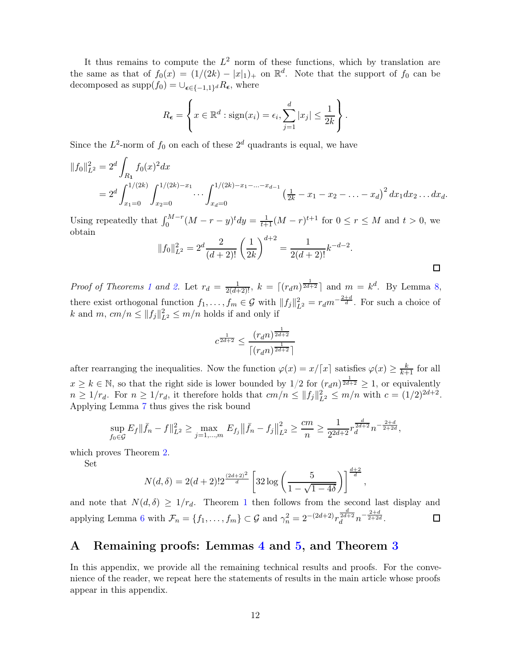It thus remains to compute the  $L^2$  norm of these functions, which by translation are the same as that of  $f_0(x) = (1/(2k) - |x|_1)_+$  on  $\mathbb{R}^d$ . Note that the support of  $f_0$  can be decomposed as  $\text{supp}(f_0) = \cup_{\epsilon \in \{-1,1\}^d} R_{\epsilon}$ , where

$$
R_{\epsilon} = \left\{ x \in \mathbb{R}^d : \text{sign}(x_i) = \epsilon_i, \sum_{j=1}^d |x_j| \leq \frac{1}{2k} \right\}.
$$

Since the  $L^2$ -norm of  $f_0$  on each of these  $2^d$  quadrants is equal, we have

$$
||f_0||_{L^2}^2 = 2^d \int_{R_1} f_0(x)^2 dx
$$
  
=  $2^d \int_{x_1=0}^{1/(2k)} \int_{x_2=0}^{1/(2k)-x_1} \cdots \int_{x_d=0}^{1/(2k)-x_1-\cdots-x_{d-1}} \left(\frac{1}{2k} - x_1 - x_2 - \cdots - x_d\right)^2 dx_1 dx_2 \cdots dx_d.$ 

Using repeatedly that  $\int_0^{M-r} (M-r-y)^t dy = \frac{1}{t+1} (M-r)^{t+1}$  for  $0 \le r \le M$  and  $t > 0$ , we obtain

$$
||f_0||_{L^2}^2 = 2^d \frac{2}{(d+2)!} \left(\frac{1}{2k}\right)^{d+2} = \frac{1}{2(d+2)!} k^{-d-2}.
$$

*Proof of Theorems [1](#page-4-1) and [2.](#page-5-0)* Let  $r_d = \frac{1}{2(d+2)!}$ ,  $k = \lceil (r_d n)^{\frac{1}{2d+2}} \rceil$  and  $m = k^d$ . By Lemma [8,](#page-10-1) there exist orthogonal function  $f_1, \ldots, f_m \in \mathcal{G}$  with  $||f_j||_{L^2}^2 = r_d m^{-\frac{2+d}{d}}$ . For such a choice of k and  $m, cm/n \leq ||f_j||_{L^2}^2 \leq m/n$  holds if and only if

$$
c^{\frac{1}{2d+2}} \le \frac{(r_d n)^{\frac{1}{2d+2}}}{\lceil (r_d n)^{\frac{1}{2d+2}} \rceil}
$$

after rearranging the inequalities. Now the function  $\varphi(x) = x/\lceil x \rceil$  satisfies  $\varphi(x) \geq \frac{k}{k+1}$  for all  $x \geq k \in \mathbb{N}$ , so that the right side is lower bounded by  $1/2$  for  $(r_d n)^{\frac{1}{2d+2}} \geq 1$ , or equivalently  $n \geq 1/r_d$ . For  $n \geq 1/r_d$ , it therefore holds that  $cm/n \leq ||f_j||_{L^2}^2 \leq m/n$  with  $c = (1/2)^{2d+2}$ . Applying Lemma [7](#page-9-1) thus gives the risk bound

$$
\sup_{f_0 \in \mathcal{G}} E_f \|\bar{f}_n - f\|_{L^2}^2 \ge \max_{j=1,\dots,m} E_{f_j} \|\bar{f}_n - f_j\|_{L^2}^2 \ge \frac{cm}{n} \ge \frac{1}{2^{2d+2}} r^{\frac{d}{2d+2}} n^{-\frac{2+d}{2+2d}},
$$

which proves Theorem [2.](#page-5-0)

Set

$$
N(d,\delta) = 2(d+2)! 2^{\frac{(2d+2)^2}{d}} \left[ 32 \log \left( \frac{5}{1-\sqrt{1-4\delta}} \right) \right]^{\frac{d+2}{d}},
$$

and note that  $N(d, \delta) \geq 1/r_d$  $N(d, \delta) \geq 1/r_d$  $N(d, \delta) \geq 1/r_d$ . Theorem 1 then follows from the second last display and applying Lemma [6](#page-8-4) with  $\mathcal{F}_n = \{f_1, \ldots, f_m\} \subset \mathcal{G}$  and  $\gamma_n^2 = 2^{-(2d+2)} r_d^{\frac{d}{2d+2}} n^{-\frac{2+d}{2+2d}}$ .  $\Box$ 

# <span id="page-11-0"></span>A Remaining proofs: Lemmas [4](#page-8-1) and [5,](#page-8-2) and Theorem [3](#page-6-1)

In this appendix, we provide all the remaining technical results and proofs. For the convenience of the reader, we repeat here the statements of results in the main article whose proofs appear in this appendix.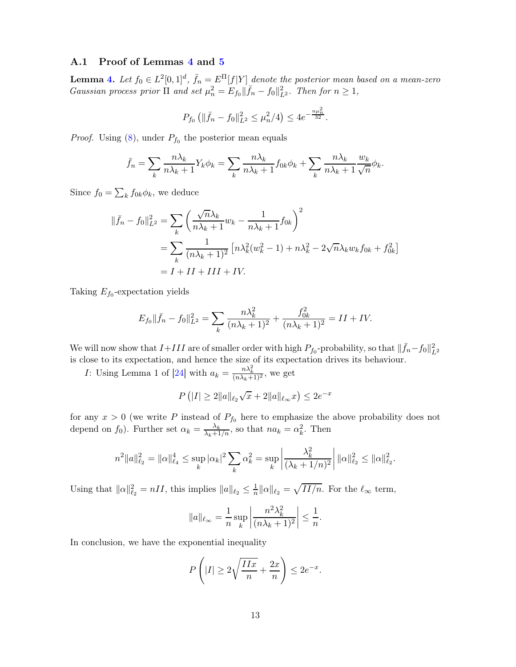### <span id="page-12-0"></span>A.1 Proof of Lemmas [4](#page-8-1) and [5](#page-8-2)

**Lemma [4.](#page-8-1)** Let  $f_0 \in L^2[0,1]^d$ ,  $\bar{f}_n = E^{\Pi}[f|Y]$  denote the posterior mean based on a mean-zero Gaussian process prior  $\Pi$  and set  $\mu_n^2 = E_{f_0} \|\bar{f}_n - f_0\|_{L^2}^2$ . Then for  $n \geq 1$ ,

$$
P_{f_0}\left(\|\bar{f}_n - f_0\|_{L^2}^2 \le \mu_n^2/4\right) \le 4e^{-\frac{n\mu_n^2}{32}}.
$$

*Proof.* Using  $(8)$ , under  $P_{f_0}$  the posterior mean equals

$$
\bar{f}_n = \sum_k \frac{n\lambda_k}{n\lambda_k + 1} Y_k \phi_k = \sum_k \frac{n\lambda_k}{n\lambda_k + 1} f_{0k} \phi_k + \sum_k \frac{n\lambda_k}{n\lambda_k + 1} \frac{w_k}{\sqrt{n}} \phi_k.
$$

Since  $f_0 = \sum_k f_{0k} \phi_k$ , we deduce

$$
\begin{aligned} \|\bar{f}_n - f_0\|_{L^2}^2 &= \sum_k \left(\frac{\sqrt{n}\lambda_k}{n\lambda_k + 1} w_k - \frac{1}{n\lambda_k + 1} f_{0k}\right)^2 \\ &= \sum_k \frac{1}{(n\lambda_k + 1)^2} \left[n\lambda_k^2 (w_k^2 - 1) + n\lambda_k^2 - 2\sqrt{n}\lambda_k w_k f_{0k} + f_{0k}^2\right] \\ &= I + II + III + IV. \end{aligned}
$$

Taking  $E_{f_0}$ -expectation yields

$$
E_{f_0} \|\bar{f}_n - f_0\|_{L^2}^2 = \sum_k \frac{n\lambda_k^2}{(n\lambda_k + 1)^2} + \frac{f_{0k}^2}{(n\lambda_k + 1)^2} = II + IV.
$$

We will now show that  $I+III$  are of smaller order with high  $P_{f_0}$ -probability, so that  $\|\bar{f}_n-f_0\|_{L^2}^2$ is close to its expectation, and hence the size of its expectation drives its behaviour.

*I*: Using Lemma 1 of [\[24](#page-21-16)] with  $a_k = \frac{n\lambda_k^2}{(n\lambda_k+1)^2}$ , we get

$$
P(|I| \ge 2||a||_{\ell_2}\sqrt{x} + 2||a||_{\ell_\infty}x) \le 2e^{-x}
$$

for any  $x > 0$  (we write P instead of  $P_{f_0}$  here to emphasize the above probability does not depend on  $f_0$ ). Further set  $\alpha_k = \frac{\lambda_k}{\lambda_k + 1/n}$ , so that  $na_k = \alpha_k^2$ . Then

$$
n^2 ||a||_{\ell_2}^2 = ||\alpha||_{\ell_4}^4 \le \sup_k |\alpha_k|^2 \sum_k \alpha_k^2 = \sup_k \left| \frac{\lambda_k^2}{(\lambda_k + 1/n)^2} \right| ||\alpha||_{\ell_2}^2 \le ||\alpha||_{\ell_2}^2.
$$

Using that  $\|\alpha\|_{\ell_2}^2 = nII$ , this implies  $\|a\|_{\ell_2} \leq \frac{1}{n}$  $\frac{1}{n} ||\alpha||_{\ell_2} = \sqrt{II/n}$ . For the  $\ell_{\infty}$  term,

$$
||a||_{\ell_{\infty}} = \frac{1}{n} \sup_{k} \left| \frac{n^2 \lambda_k^2}{(n\lambda_k + 1)^2} \right| \le \frac{1}{n}.
$$

In conclusion, we have the exponential inequality

$$
P\left(|I| \ge 2\sqrt{\frac{IIx}{n}} + \frac{2x}{n}\right) \le 2e^{-x}.
$$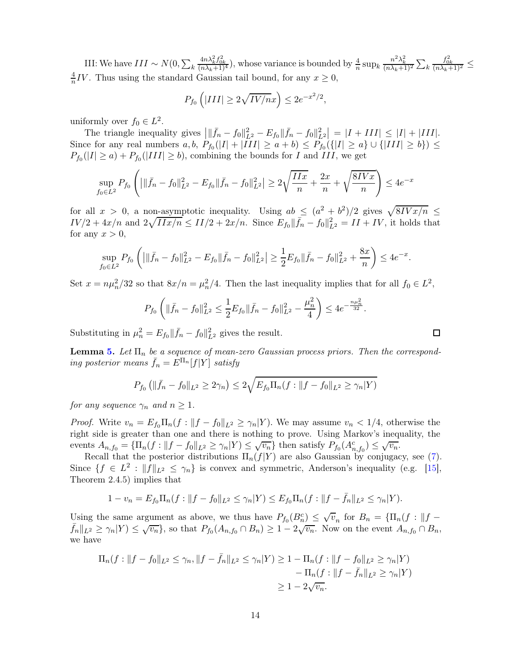III: We have  $III \sim N(0, \sum_{k=1}^{N}$  $\frac{4n\lambda_k^2 f_{0k}^2}{(n\lambda_k+1)^4}$ , whose variance is bounded by  $\frac{4}{n} \sup_k \frac{n^2\lambda_k^2}{(n\lambda_k+1)^2} \sum_k$  $\frac{f_{0k}^2}{(n\lambda_k+1)^2} \leq$ 4  $\frac{4}{n}IV$ . Thus using the standard Gaussian tail bound, for any  $x \ge 0$ ,

$$
P_{f_0}\left(|III| \ge 2\sqrt{IV/n}x\right) \le 2e^{-x^2/2},
$$

uniformly over  $f_0 \in L^2$ .

The triangle inequality gives  $|||\bar{f}_n - f_0||_{L^2}^2 - E_{f_0}||\bar{f}_n - f_0||_{L^2}^2 = |I + III| \leq |I| + |III|$ . Since for any real numbers  $a, b, P_{f_0}(|I| + |III| \ge a + b) \le P_{f_0}(\{|I| \ge a\} \cup \{|III| \ge b\}) \le$  $P_{f_0}(|I| \ge a) + P_{f_0}(|III| \ge b)$ , combining the bounds for I and III, we get

$$
\sup_{f_0 \in L^2} P_{f_0} \left( \left| \|\bar{f}_n - f_0\|_{L^2}^2 - E_{f_0} \|\bar{f}_n - f_0\|_{L^2}^2 \right| \ge 2\sqrt{\frac{IIx}{n}} + \frac{2x}{n} + \sqrt{\frac{8IVx}{n}} \right) \le 4e^{-x}
$$

for all  $x > 0$ , a non-asymptotic inequality. Using  $ab \leq (a^2 + b^2)/2$  gives  $\sqrt{8IVx/n} \leq$  $IV/2 + 4x/n$  and  $2\sqrt{IIx/n} \leq II/2 + 2x/n$ . Since  $E_{f_0} || \bar{f}_n - f_0 ||_{L^2}^2 = II + IV$ , it holds that for any  $x > 0$ ,

$$
\sup_{f_0 \in L^2} P_{f_0} \left( \left| \|\bar{f}_n - f_0\|_{L^2}^2 - E_{f_0} \|\bar{f}_n - f_0\|_{L^2}^2 \right| \ge \frac{1}{2} E_{f_0} \|\bar{f}_n - f_0\|_{L^2}^2 + \frac{8x}{n} \right) \le 4e^{-x}.
$$

Set  $x = n\mu_n^2/32$  so that  $8x/n = \mu_n^2/4$ . Then the last inequality implies that for all  $f_0 \in L^2$ ,

$$
P_{f_0}\left(\|\bar{f}_n - f_0\|_{L^2}^2 \le \frac{1}{2}E_{f_0}\|\bar{f}_n - f_0\|_{L^2}^2 - \frac{\mu_n^2}{4}\right) \le 4e^{-\frac{n\mu_n^2}{32}}.
$$

Substituting in  $\mu_n^2 = E_{f_0} || \bar{f}_n - f_0 ||_{L^2}^2$  gives the result.

**Lemma [5.](#page-8-2)** Let  $\Pi_n$  be a sequence of mean-zero Gaussian process priors. Then the corresponding posterior means  $\bar{f}_n = E^{\Pi_n}[f|Y]$  satisfy

$$
P_{f_0} \left( \| \bar{f}_n - f_0 \|_{L^2} \ge 2\gamma_n \right) \le 2\sqrt{E_{f_0} \Pi_n(f : \|f - f_0\|_{L^2} \ge \gamma_n|Y)}
$$

for any sequence  $\gamma_n$  and  $n \geq 1$ .

*Proof.* Write  $v_n = E_{f_0} \Pi_n(f : ||f - f_0||_{L^2} \ge \gamma_n|Y)$ . We may assume  $v_n < 1/4$ , otherwise the right side is greater than one and there is nothing to prove. Using Markov's inequality, the events  $A_{n,f_0} = {\Pi_n(f: ||f - f_0||_{L^2} \ge \gamma_n|Y) \le \sqrt{v_n}}$  then satisfy  $P_{f_0}(A_{n,f_0}^c) \le \sqrt{v_n}$ .

Recall that the posterior distributions  $\Pi_n(f|Y)$  are also Gaussian by conjugacy, see [\(7\)](#page-8-3). Since  $\{f \in L^2 : ||f||_{L^2} \leq \gamma_n\}$  is convex and symmetric, Anderson's inequality (e.g. [\[15](#page-21-15)], Theorem 2.4.5) implies that

$$
1 - v_n = E_{f_0} \Pi_n(f : ||f - f_0||_{L^2} \le \gamma_n |Y) \le E_{f_0} \Pi_n(f : ||f - \bar{f}_n||_{L^2} \le \gamma_n |Y).
$$

Using the same argument as above, we thus have  $P_{f_0}(B_n^c) \leq \sqrt{v_n}$  for  $B_n = {\Pi_n(f : ||f - \overline{v_n}||)}$  $\overline{f}_n||_{L^2} \geq \gamma_n|Y| \leq \sqrt{v_n}$ , so that  $P_{f_0}(A_{n,f_0} \cap B_n) \geq 1 - 2\sqrt{v_n}$ . Now on the event  $A_{n,f_0} \cap B_n$ , we have

$$
\Pi_n(f: ||f - f_0||_{L^2} \le \gamma_n, ||f - \bar{f}_n||_{L^2} \le \gamma_n|Y) \ge 1 - \Pi_n(f: ||f - f_0||_{L^2} \ge \gamma_n|Y) - \Pi_n(f: ||f - \bar{f}_n||_{L^2} \ge \gamma_n|Y) \ge 1 - 2\sqrt{v_n}.
$$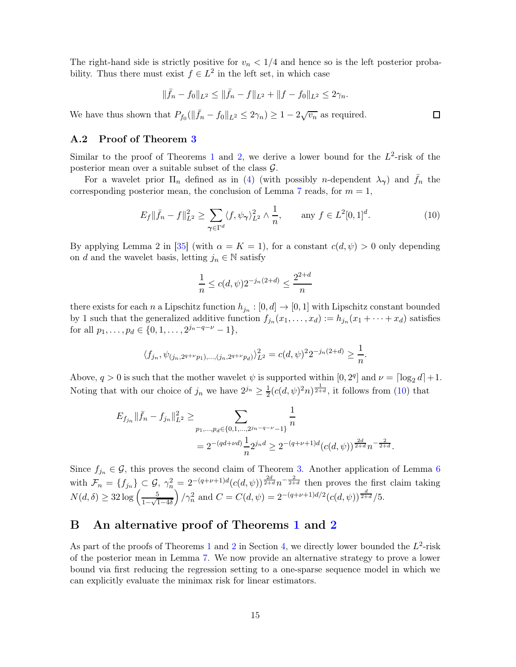The right-hand side is strictly positive for  $v_n < 1/4$  and hence so is the left posterior probability. Thus there must exist  $f \in L^2$  in the left set, in which case

$$
\|\bar{f}_n - f_0\|_{L^2} \le \|\bar{f}_n - f\|_{L^2} + \|f - f_0\|_{L^2} \le 2\gamma_n.
$$

We have thus shown that  $P_{f_0}(\|\bar{f}_n - f_0\|_{L^2} \le 2\gamma_n) \ge 1 - 2\sqrt{v_n}$  as required.

### <span id="page-14-0"></span>A.2 Proof of Theorem [3](#page-6-1)

Similar to the proof of Theorems [1](#page-4-1) and [2,](#page-5-0) we derive a lower bound for the  $L^2$ -risk of the posterior mean over a suitable subset of the class  $\mathcal{G}$ .

For a wavelet prior  $\Pi_n$  defined as in [\(4\)](#page-6-2) (with possibly *n*-dependent  $\lambda_{\gamma}$ ) and  $f_n$  the corresponding posterior mean, the conclusion of Lemma [7](#page-9-1) reads, for  $m = 1$ ,

<span id="page-14-2"></span>
$$
E_f \|\bar{f}_n - f\|_{L^2}^2 \ge \sum_{\gamma \in \Gamma^d} \langle f, \psi_\gamma \rangle_{L^2}^2 \wedge \frac{1}{n}, \qquad \text{any } f \in L^2[0, 1]^d. \tag{10}
$$

By applying Lemma 2 in [\[35\]](#page-22-9) (with  $\alpha = K = 1$ ), for a constant  $c(d, \psi) > 0$  only depending on d and the wavelet basis, letting  $j_n \in \mathbb{N}$  satisfy

$$
\frac{1}{n} \le c(d, \psi) 2^{-j_n(2+d)} \le \frac{2^{2+d}}{n}
$$

there exists for each n a Lipschitz function  $h_{j_n} : [0, d] \to [0, 1]$  with Lipschitz constant bounded by 1 such that the generalized additive function  $f_{j_n}(x_1,\ldots,x_d) := h_{j_n}(x_1 + \cdots + x_d)$  satisfies for all  $p_1, \ldots, p_d \in \{0, 1, \ldots, 2^{j_n - q - \nu} - 1\},\$ 

$$
\langle f_{j_n}, \psi_{(j_n, 2^{q+\nu}p_1), \dots, (j_n, 2^{q+\nu}p_d)} \rangle_{L^2}^2 = c(d, \psi)^2 2^{-j_n(2+d)} \ge \frac{1}{n}.
$$

Above,  $q > 0$  is such that the mother wavelet  $\psi$  is supported within  $[0, 2^q]$  and  $\nu = \lceil \log_2 d \rceil + 1$ . Noting that with our choice of  $j_n$  we have  $2^{j_n} \geq \frac{1}{2}$  $\frac{1}{2}(c(d,\psi)^2 n)^{\frac{1}{2+d}}$ , it follows from [\(10\)](#page-14-2) that

$$
E_{f_{j_n}} \|\bar{f}_n - f_{j_n}\|_{L^2}^2 \ge \sum_{\substack{p_1, \dots, p_d \in \{0, 1, \dots, 2^{j_n - q - \nu} - 1\} \\ n}} \frac{1}{n}
$$
  
=  $2^{-(qd + \nu d)} \frac{1}{n} 2^{j_n d} \ge 2^{-(q + \nu + 1)d} (c(d, \psi))^{\frac{2d}{2 + d}} n^{-\frac{2}{2 + d}}.$ 

Since  $f_{j_n} \in \mathcal{G}$ , this proves the second claim of Theorem [3.](#page-6-1) Another application of Lemma [6](#page-8-4) with  $\mathcal{F}_n = \{f_{j_n}\}\subset \mathcal{G}, \ \gamma_n^2 = 2^{-(q+\nu+1)d}(c(d,\psi))^{\frac{2d}{2+d}}n^{-\frac{2}{2+d}}$  then proves the first claim taking  $N(d,\delta) \geq 32 \log \left( \frac{5}{1-\sqrt{1}} \right)$  $1-\sqrt{1-4\delta}$  $\int \gamma_n^2$  and  $C = C(d, \psi) = 2^{-(q+\nu+1)d/2} (c(d, \psi))^{\frac{d}{2+d}}/5.$ 

# <span id="page-14-1"></span>B An alternative proof of Theorems [1](#page-4-1) and [2](#page-5-0)

As part of the proofs of Theorems [1](#page-4-1) and [2](#page-5-0) in Section [4,](#page-7-1) we directly lower bounded the  $L^2$ -risk of the posterior mean in Lemma [7.](#page-9-1) We now provide an alternative strategy to prove a lower bound via first reducing the regression setting to a one-sparse sequence model in which we can explicitly evaluate the minimax risk for linear estimators.

 $\Box$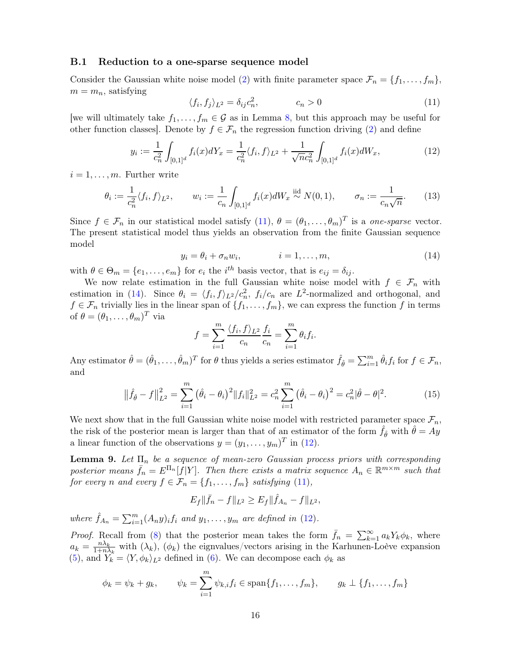#### <span id="page-15-0"></span>B.1 Reduction to a one-sparse sequence model

Consider the Gaussian white noise model [\(2\)](#page-2-3) with finite parameter space  $\mathcal{F}_n = \{f_1, \ldots, f_m\}$ ,  $m = m_n$ , satisfying

<span id="page-15-1"></span>
$$
\langle f_i, f_j \rangle_{L^2} = \delta_{ij} c_n^2, \qquad c_n > 0 \tag{11}
$$

[we will ultimately take  $f_1, \ldots, f_m \in \mathcal{G}$  as in Lemma [8,](#page-10-1) but this approach may be useful for other function classes]. Denote by  $f \in \mathcal{F}_n$  the regression function driving [\(2\)](#page-2-3) and define

<span id="page-15-3"></span>
$$
y_i := \frac{1}{c_n^2} \int_{[0,1]^d} f_i(x) dY_x = \frac{1}{c_n^2} \langle f_i, f \rangle_{L^2} + \frac{1}{\sqrt{n c_n^2}} \int_{[0,1]^d} f_i(x) dW_x,\tag{12}
$$

 $i = 1, \ldots, m$ . Further write

<span id="page-15-6"></span>
$$
\theta_i := \frac{1}{c_n^2} \langle f_i, f \rangle_{L^2}, \qquad w_i := \frac{1}{c_n} \int_{[0,1]^d} f_i(x) dW_x \stackrel{\text{iid}}{\sim} N(0, 1), \qquad \sigma_n := \frac{1}{c_n \sqrt{n}}. \tag{13}
$$

Since  $f \in \mathcal{F}_n$  in our statistical model satisfy [\(11\)](#page-15-1),  $\theta = (\theta_1, \dots, \theta_m)^T$  is a *one-sparse* vector. The present statistical model thus yields an observation from the finite Gaussian sequence model

<span id="page-15-2"></span>
$$
y_i = \theta_i + \sigma_n w_i, \qquad i = 1, \dots, m,
$$
\n<sup>(14)</sup>

with  $\theta \in \Theta_m = \{e_1, \ldots, e_m\}$  for  $e_i$  the  $i^{th}$  basis vector, that is  $e_{ij} = \delta_{ij}$ .

We now relate estimation in the full Gaussian white noise model with  $f \in \mathcal{F}_n$  with estimation in [\(14\)](#page-15-2). Since  $\theta_i = \langle f_i, f \rangle_{L^2}/c_n^2$ ,  $f_i/c_n$  are  $L^2$ -normalized and orthogonal, and  $f \in \mathcal{F}_n$  trivially lies in the linear span of  $\{f_1, \ldots, f_m\}$ , we can express the function f in terms of  $\theta = (\theta_1, \ldots, \theta_m)^T$  via

<span id="page-15-5"></span>
$$
f = \sum_{i=1}^{m} \frac{\langle f_i, f \rangle_{L^2}}{c_n} \frac{f_i}{c_n} = \sum_{i=1}^{m} \theta_i f_i.
$$

Any estimator  $\hat{\theta} = (\hat{\theta}_1, \dots, \hat{\theta}_m)^T$  for  $\theta$  thus yields a series estimator  $\hat{f}_{\hat{\theta}} = \sum_{i=1}^m \hat{\theta}_i f_i$  for  $f \in \mathcal{F}_n$ , and

$$
\|\hat{f}_{\hat{\theta}} - f\|_{L^2}^2 = \sum_{i=1}^m (\hat{\theta}_i - \theta_i)^2 \|f_i\|_{L^2}^2 = c_n^2 \sum_{i=1}^m (\hat{\theta}_i - \theta_i)^2 = c_n^2 |\hat{\theta} - \theta|^2.
$$
 (15)

We next show that in the full Gaussian white noise model with restricted parameter space  $\mathcal{F}_n$ , the risk of the posterior mean is larger than that of an estimator of the form  $\hat{f}_{\hat{\theta}}$  with  $\hat{\theta} = Ay$ a linear function of the observations  $y = (y_1, \ldots, y_m)^T$  in [\(12\)](#page-15-3).

<span id="page-15-4"></span>**Lemma 9.** Let  $\Pi_n$  be a sequence of mean-zero Gaussian process priors with corresponding posterior means  $\bar{f}_n = E^{\Pi_n}[f|Y]$ . Then there exists a matrix sequence  $A_n \in \mathbb{R}^{m \times m}$  such that for every n and every  $f \in \mathcal{F}_n = \{f_1, \ldots, f_m\}$  satisfying [\(11\)](#page-15-1),

$$
E_f \|\bar{f}_n - f\|_{L^2} \ge E_f \|\hat{f}_{A_n} - f\|_{L^2},
$$

where  $\hat{f}_{A_n} = \sum_{i=1}^m (A_n y)_i f_i$  and  $y_1, \ldots, y_m$  are defined in [\(12\)](#page-15-3).

*Proof.* Recall from [\(8\)](#page-8-5) that the posterior mean takes the form  $\bar{f}_n = \sum_{k=1}^{\infty} a_k Y_k \phi_k$ , where  $a_k = \frac{n\lambda_k}{1+n}$  $\frac{n\lambda_k}{1+n\lambda_k}$  with  $(\lambda_k)$ ,  $(\phi_k)$  the eignvalues/vectors arising in the Karhunen-Loève expansion [\(5\)](#page-7-2), and  $Y_k = \langle Y, \phi_k \rangle_{L^2}$  defined in [\(6\)](#page-7-3). We can decompose each  $\phi_k$  as

$$
\phi_k = \psi_k + g_k, \qquad \psi_k = \sum_{i=1}^m \psi_{k,i} f_i \in \text{span}\{f_1, \dots, f_m\}, \qquad g_k \perp \{f_1, \dots, f_m\}
$$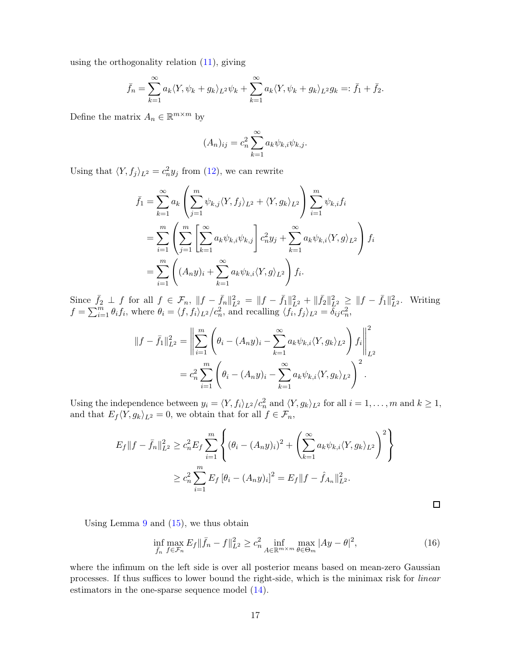using the orthogonality relation [\(11\)](#page-15-1), giving

$$
\bar{f}_n = \sum_{k=1}^{\infty} a_k \langle Y, \psi_k + g_k \rangle_{L^2} \psi_k + \sum_{k=1}^{\infty} a_k \langle Y, \psi_k + g_k \rangle_{L^2} g_k =: \bar{f}_1 + \bar{f}_2.
$$

Define the matrix  $A_n \in \mathbb{R}^{m \times m}$  by

$$
(A_n)_{ij} = c_n^2 \sum_{k=1}^{\infty} a_k \psi_{k,i} \psi_{k,j}.
$$

Using that  $\langle Y, f_j \rangle_{L^2} = c_n^2 y_j$  from [\(12\)](#page-15-3), we can rewrite

$$
\bar{f}_1 = \sum_{k=1}^{\infty} a_k \left( \sum_{j=1}^m \psi_{k,j} \langle Y, f_j \rangle_{L^2} + \langle Y, g_k \rangle_{L^2} \right) \sum_{i=1}^m \psi_{k,i} f_i
$$
  
\n
$$
= \sum_{i=1}^m \left( \sum_{j=1}^m \left[ \sum_{k=1}^\infty a_k \psi_{k,i} \psi_{k,j} \right] c_n^2 y_j + \sum_{k=1}^\infty a_k \psi_{k,i} \langle Y, g \rangle_{L^2} \right) f_i
$$
  
\n
$$
= \sum_{i=1}^m \left( (A_n y)_i + \sum_{k=1}^\infty a_k \psi_{k,i} \langle Y, g \rangle_{L^2} \right) f_i.
$$

Since  $\bar{f}_2 \perp f$  for all  $f \in \mathcal{F}_n$ ,  $||f - \bar{f}_n||_{L^2}^2 = ||f - \bar{f}_1||_{L^2}^2 + ||\bar{f}_2||_{L^2}^2 \ge ||f - \bar{f}_1||_{L^2}^2$ . Writing  $f = \sum_{i=1}^m \theta_i f_i$ , where  $\theta_i = \langle f, f_i \rangle_{L^2} / c_n^2$ , and recalling  $\langle f_i, f_j \rangle_{L^2} = \delta_{ij} c_n^2$ ,

$$
||f - \bar{f}_1||_{L^2}^2 = \left\| \sum_{i=1}^m \left( \theta_i - (A_n y)_i - \sum_{k=1}^\infty a_k \psi_{k,i} \langle Y, g_k \rangle_{L^2} \right) f_i \right\|_{L^2}^2
$$
  
=  $c_n^2 \sum_{i=1}^m \left( \theta_i - (A_n y)_i - \sum_{k=1}^\infty a_k \psi_{k,i} \langle Y, g_k \rangle_{L^2} \right)^2$ .

Using the independence between  $y_i = \langle Y, f_i \rangle_{L^2} / c_n^2$  and  $\langle Y, g_k \rangle_{L^2}$  for all  $i = 1, ..., m$  and  $k \ge 1$ , and that  $E_f \langle Y, g_k \rangle_{L^2} = 0$ , we obtain that for all  $f \in \mathcal{F}_n$ ,

$$
E_f ||f - \bar{f}_n||_{L^2}^2 \ge c_n^2 E_f \sum_{i=1}^m \left\{ (\theta_i - (A_n y)_i)^2 + \left( \sum_{k=1}^\infty a_k \psi_{k,i} \langle Y, g_k \rangle_{L^2} \right)^2 \right\}
$$
  

$$
\ge c_n^2 \sum_{i=1}^m E_f [\theta_i - (A_n y)_i]^2 = E_f ||f - \hat{f}_{A_n}||_{L^2}^2.
$$

<span id="page-16-0"></span> $\Box$ 

Using Lemma  $9$  and  $(15)$ , we thus obtain

$$
\inf_{\bar{f}_n} \max_{f \in \mathcal{F}_n} E_f \| \bar{f}_n - f \|_{L^2}^2 \ge c_n^2 \inf_{A \in \mathbb{R}^{m \times m}} \max_{\theta \in \Theta_m} |Ay - \theta|^2,\tag{16}
$$

where the infimum on the left side is over all posterior means based on mean-zero Gaussian processes. If thus suffices to lower bound the right-side, which is the minimax risk for linear estimators in the one-sparse sequence model  $(14)$ .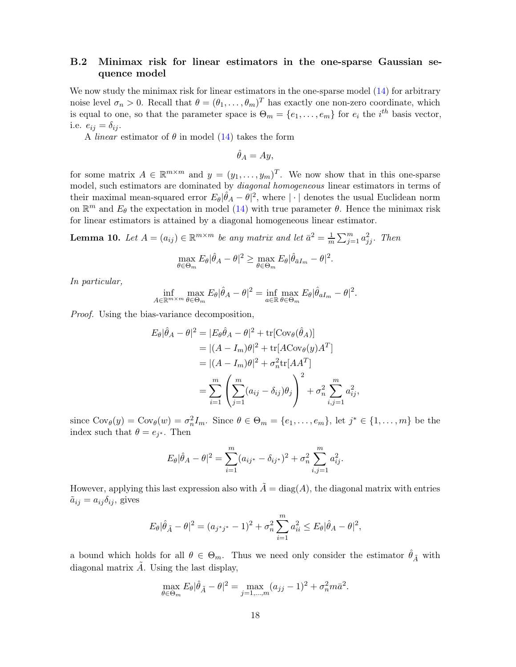## <span id="page-17-0"></span>B.2 Minimax risk for linear estimators in the one-sparse Gaussian sequence model

We now study the minimax risk for linear estimators in the one-sparse model  $(14)$  for arbitrary noise level  $\sigma_n > 0$ . Recall that  $\theta = (\theta_1, \dots, \theta_m)^T$  has exactly one non-zero coordinate, which is equal to one, so that the parameter space is  $\Theta_m = \{e_1, \ldots, e_m\}$  for  $e_i$  the  $i^{th}$  basis vector, i.e.  $e_{ij} = \delta_{ij}$ .

A *linear* estimator of  $\theta$  in model [\(14\)](#page-15-2) takes the form

$$
\hat{\theta}_A = Ay,
$$

for some matrix  $A \in \mathbb{R}^{m \times m}$  and  $y = (y_1, \ldots, y_m)^T$ . We now show that in this one-sparse model, such estimators are dominated by diagonal homogeneous linear estimators in terms of their maximal mean-squared error  $E_{\theta}|\hat{\theta}_A - \theta|^2$ , where  $|\cdot|$  denotes the usual Euclidean norm on  $\mathbb{R}^m$  and  $E_\theta$  the expectation in model [\(14\)](#page-15-2) with true parameter  $\theta$ . Hence the minimax risk for linear estimators is attained by a diagonal homogeneous linear estimator.

<span id="page-17-1"></span>**Lemma 10.** Let  $A = (a_{ij}) \in \mathbb{R}^{m \times m}$  be any matrix and let  $\bar{a}^2 = \frac{1}{m}$  $\frac{1}{m}\sum_{j=1}^m a_{jj}^2$ . Then

$$
\max_{\theta \in \Theta_m} E_{\theta} |\hat{\theta}_A - \theta|^2 \ge \max_{\theta \in \Theta_m} E_{\theta} |\hat{\theta}_{\bar{a}I_m} - \theta|^2.
$$

In particular,

$$
\inf_{A \in \mathbb{R}^{m \times m}} \max_{\theta \in \Theta_m} E_{\theta} |\hat{\theta}_A - \theta|^2 = \inf_{a \in \mathbb{R}} \max_{\theta \in \Theta_m} E_{\theta} |\hat{\theta}_{aI_m} - \theta|^2.
$$

Proof. Using the bias-variance decomposition,

$$
E_{\theta}|\hat{\theta}_{A} - \theta|^{2} = |E_{\theta}\hat{\theta}_{A} - \theta|^{2} + \text{tr}[\text{Cov}_{\theta}(\hat{\theta}_{A})]
$$
  
\n
$$
= |(A - I_{m})\theta|^{2} + \text{tr}[A\text{Cov}_{\theta}(y)A^{T}]
$$
  
\n
$$
= |(A - I_{m})\theta|^{2} + \sigma_{n}^{2}\text{tr}[AA^{T}]
$$
  
\n
$$
= \sum_{i=1}^{m} \left(\sum_{j=1}^{m} (a_{ij} - \delta_{ij})\theta_{j}\right)^{2} + \sigma_{n}^{2} \sum_{i,j=1}^{m} a_{ij}^{2},
$$

since  $Cov_{\theta}(y) = Cov_{\theta}(w) = \sigma_n^2 I_m$ . Since  $\theta \in \Theta_m = \{e_1, \ldots, e_m\}$ , let  $j^* \in \{1, \ldots, m\}$  be the index such that  $\theta = e_{j^*}$ . Then

$$
E_{\theta}|\hat{\theta}_A - \theta|^2 = \sum_{i=1}^m (a_{ij^*} - \delta_{ij^*})^2 + \sigma_n^2 \sum_{i,j=1}^m a_{ij}^2.
$$

However, applying this last expression also with  $\tilde{A} = \text{diag}(A)$ , the diagonal matrix with entries  $\tilde{a}_{ij} = a_{ij} \delta_{ij}$ , gives

$$
E_{\theta}|\hat{\theta}_{\tilde{A}} - \theta|^2 = (a_{j^*j^*} - 1)^2 + \sigma_n^2 \sum_{i=1}^m a_{ii}^2 \le E_{\theta}|\hat{\theta}_A - \theta|^2,
$$

a bound which holds for all  $\theta \in \Theta_m$ . Thus we need only consider the estimator  $\hat{\theta}_{\tilde{A}}$  with diagonal matrix  $\ddot{A}$ . Using the last display,

$$
\max_{\theta \in \Theta_m} E_{\theta} |\hat{\theta}_{\tilde{A}} - \theta|^2 = \max_{j=1,\dots,m} (a_{jj} - 1)^2 + \sigma_n^2 m \bar{a}^2.
$$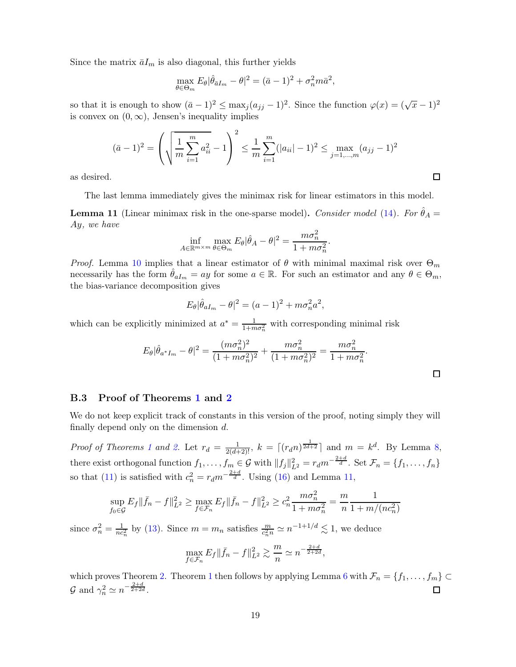Since the matrix  $\bar{a}I_m$  is also diagonal, this further yields

$$
\max_{\theta \in \Theta_m} E_{\theta} |\hat{\theta}_{\bar{a}I_m} - \theta|^2 = (\bar{a} - 1)^2 + \sigma_n^2 m \bar{a}^2,
$$

so that it is enough to show  $(\bar{a}-1)^2 \le \max_j (a_{jj}-1)^2$ . Since the function  $\varphi(x) = (\sqrt{x}-1)^2$ is convex on  $(0, \infty)$ , Jensen's inequality implies

$$
(\bar{a}-1)^2 = \left(\sqrt{\frac{1}{m}\sum_{i=1}^m a_{ii}^2} - 1\right)^2 \le \frac{1}{m}\sum_{i=1}^m (|a_{ii}| - 1)^2 \le \max_{j=1,\dots,m} (a_{jj} - 1)^2
$$

as desired.

The last lemma immediately gives the minimax risk for linear estimators in this model.

<span id="page-18-1"></span>**Lemma 11** (Linear minimax risk in the one-sparse model). Consider model [\(14\)](#page-15-2). For  $\hat{\theta}_A$  = Ay, we have

$$
\inf_{A \in \mathbb{R}^{m \times m}} \max_{\theta \in \Theta_m} E_{\theta} |\hat{\theta}_A - \theta|^2 = \frac{m\sigma_n^2}{1 + m\sigma_n^2}.
$$

*Proof.* Lemma [10](#page-17-1) implies that a linear estimator of  $\theta$  with minimal maximal risk over  $\Theta_m$ necessarily has the form  $\hat{\theta}_{aI_m} = ay$  for some  $a \in \mathbb{R}$ . For such an estimator and any  $\theta \in \Theta_m$ , the bias-variance decomposition gives

$$
E_{\theta}|\hat{\theta}_{aI_m} - \theta|^2 = (a-1)^2 + m\sigma_n^2 a^2,
$$

which can be explicitly minimized at  $a^* = \frac{1}{1 + m\sigma_n^2}$  with corresponding minimal risk

$$
E_{\theta}|\hat{\theta}_{a^*I_m} - \theta|^2 = \frac{(m\sigma_n^2)^2}{(1 + m\sigma_n^2)^2} + \frac{m\sigma_n^2}{(1 + m\sigma_n^2)^2} = \frac{m\sigma_n^2}{1 + m\sigma_n^2}.
$$

### <span id="page-18-0"></span>B.3 Proof of Theorems [1](#page-4-1) and [2](#page-5-0)

We do not keep explicit track of constants in this version of the proof, noting simply they will finally depend only on the dimension  $d$ .

*Proof of Theorems [1](#page-4-1) and [2.](#page-5-0)* Let  $r_d = \frac{1}{2(d+2)!}$ ,  $k = \lceil (r_d n)^{\frac{1}{2d+2}} \rceil$  and  $m = k^d$ . By Lemma [8,](#page-10-1) there exist orthogonal function  $f_1, \ldots, f_m \in \mathcal{G}$  with  $||f_j||_{L^2}^2 = r_d m^{-\frac{2+d}{d}}$ . Set  $\mathcal{F}_n = \{f_1, \ldots, f_n\}$ so that [\(11\)](#page-15-1) is satisfied with  $c_n^2 = r_d m^{-\frac{2+d}{d}}$ . Using [\(16\)](#page-16-0) and Lemma [11,](#page-18-1)

$$
\sup_{f_0 \in \mathcal{G}} E_f \|\bar{f}_n - f\|_{L^2}^2 \ge \max_{f \in \mathcal{F}_n} E_f \|\bar{f}_n - f\|_{L^2}^2 \ge c_n^2 \frac{m\sigma_n^2}{1 + m\sigma_n^2} = \frac{m}{n} \frac{1}{1 + m/(nc_n^2)}
$$

since  $\sigma_n^2 = \frac{1}{nc_n^2}$  by [\(13\)](#page-15-6). Since  $m = m_n$  satisfies  $\frac{m}{c_n^2 n} \simeq n^{-1+1/d} \lesssim 1$ , we deduce

$$
\max_{f \in \mathcal{F}_n} E_f \| \bar{f}_n - f \|_{L^2}^2 \gtrsim \frac{m}{n} \simeq n^{-\frac{2+d}{2+2d}},
$$

which proves Theorem [2.](#page-5-0) Theorem [1](#page-4-1) then follows by applying Lemma [6](#page-8-4) with  $\mathcal{F}_n = \{f_1, \ldots, f_m\} \subset$  $\mathcal{G}$  and  $\gamma_n^2 \simeq n^{-\frac{2+d}{2+2d}}$ .  $\Box$ 

 $\Box$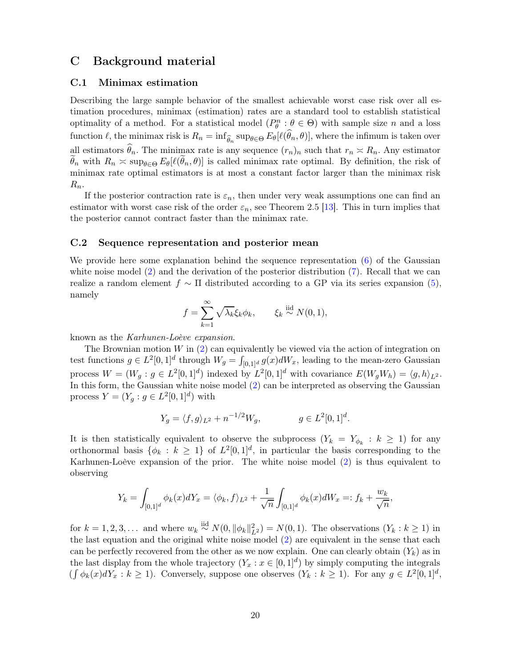# <span id="page-19-1"></span><span id="page-19-0"></span>C Background material

### C.1 Minimax estimation

Describing the large sample behavior of the smallest achievable worst case risk over all estimation procedures, minimax (estimation) rates are a standard tool to establish statistical optimality of a method. For a statistical model  $(P_{\theta}^n : \theta \in \Theta)$  with sample size n and a loss function  $\ell$ , the minimax risk is  $R_n = \inf_{\widehat{\theta}_n} \sup_{\theta \in \Theta} E_{\theta}[\ell(\theta_n, \theta)],$  where the infimum is taken over all estimators  $\theta_n$ . The minimax rate is any sequence  $(r_n)_n$  such that  $r_n \approx R_n$ . Any estimator  $\theta_n$  with  $R_n \simeq \sup_{\theta \in \Theta} E_{\theta}[\ell(\theta_n, \theta)]$  is called minimax rate optimal. By definition, the risk of minimax rate optimal estimators is at most a constant factor larger than the minimax risk  $R_n$ .

If the posterior contraction rate is  $\varepsilon_n$ , then under very weak assumptions one can find an estimator with worst case risk of the order  $\varepsilon_n$ , see Theorem 2.5 [\[13\]](#page-21-17). This in turn implies that the posterior cannot contract faster than the minimax rate.

#### <span id="page-19-2"></span>C.2 Sequence representation and posterior mean

We provide here some explanation behind the sequence representation [\(6\)](#page-7-3) of the Gaussian white noise model  $(2)$  and the derivation of the posterior distribution  $(7)$ . Recall that we can realize a random element  $f \sim \Pi$  distributed according to a GP via its series expansion [\(5\)](#page-7-2), namely

$$
f = \sum_{k=1}^{\infty} \sqrt{\lambda_k} \xi_k \phi_k, \qquad \xi_k \stackrel{\text{iid}}{\sim} N(0, 1),
$$

known as the Karhunen-Loève expansion.

The Brownian motion  $W$  in  $(2)$  can equivalently be viewed via the action of integration on test functions  $g \in L^2[0,1]^d$  through  $W_g = \int_{[0,1]^d} g(x) dW_x$ , leading to the mean-zero Gaussian process  $W = (W_g : g \in L^2[0,1]^d)$  indexed by  $L^2[0,1]^d$  with covariance  $E(W_g W_h) = \langle g, h \rangle_{L^2}$ . In this form, the Gaussian white noise model [\(2\)](#page-2-3) can be interpreted as observing the Gaussian process  $Y = (Y_g : g \in L^2[0,1]^d)$  with

$$
Y_g = \langle f, g \rangle_{L^2} + n^{-1/2} W_g, \qquad g \in L^2[0, 1]^d.
$$

It is then statistically equivalent to observe the subprocess  $(Y_k = Y_{\phi_k} : k \geq 1)$  for any orthonormal basis  $\{\phi_k : k \geq 1\}$  of  $L^2[0,1]^d$ , in particular the basis corresponding to the Karhunen-Loève expansion of the prior. The white noise model [\(2\)](#page-2-3) is thus equivalent to observing

$$
Y_k = \int_{[0,1]^d} \phi_k(x) dY_x = \langle \phi_k, f \rangle_{L^2} + \frac{1}{\sqrt{n}} \int_{[0,1]^d} \phi_k(x) dW_x =: f_k + \frac{w_k}{\sqrt{n}},
$$

for  $k = 1, 2, 3, \ldots$  and where  $w_k \stackrel{\text{iid}}{\sim} N(0, \|\phi_k\|_{L^2}^2) = N(0, 1)$ . The observations  $(Y_k : k \ge 1)$  in the last equation and the original white noise model [\(2\)](#page-2-3) are equivalent in the sense that each can be perfectly recovered from the other as we now explain. One can clearly obtain  $(Y_k)$  as in the last display from the whole trajectory  $(Y_x : x \in [0,1]^d)$  by simply computing the integrals  $(\int \phi_k(x)dY_x : k \ge 1)$ . Conversely, suppose one observes  $(Y_k : k \ge 1)$ . For any  $g \in L^2[0,1]^d$ ,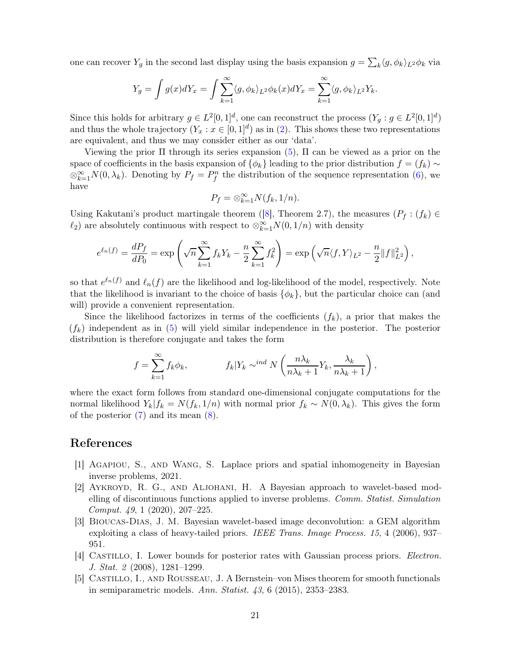one can recover  $Y_g$  in the second last display using the basis expansion  $g = \sum_k \langle g, \phi_k \rangle_{L^2} \phi_k$  via

$$
Y_g = \int g(x)dY_x = \int \sum_{k=1}^{\infty} \langle g, \phi_k \rangle_{L^2} \phi_k(x)dY_x = \sum_{k=1}^{\infty} \langle g, \phi_k \rangle_{L^2} Y_k.
$$

Since this holds for arbitrary  $g \in L^2[0,1]^d$ , one can reconstruct the process  $(Y_g : g \in L^2[0,1]^d)$ and thus the whole trajectory  $(Y_x : x \in [0,1]^d)$  as in [\(2\)](#page-2-3). This shows these two representations are equivalent, and thus we may consider either as our 'data'.

Viewing the prior  $\Pi$  through its series expansion [\(5\)](#page-7-2),  $\Pi$  can be viewed as a prior on the space of coefficients in the basis expansion of  $\{\phi_k\}$  leading to the prior distribution  $f = (f_k) \sim$  $\otimes_{k=1}^{\infty} N(0, \lambda_k)$ . Denoting by  $P_f = P_f^n$  the distribution of the sequence representation [\(6\)](#page-7-3), we have

$$
P_f = \otimes_{k=1}^{\infty} N(f_k, 1/n).
$$

Using Kakutani's product martingale theorem ([\[8\]](#page-21-18), Theorem 2.7), the measures ( $P_f$ :  $(f_k)$ )  $\ell_2$ ) are absolutely continuous with respect to  $\otimes_{k=1}^{\infty} N(0, 1/n)$  with density

$$
e^{\ell_n(f)} = \frac{dP_f}{dP_0} = \exp\left(\sqrt{n}\sum_{k=1}^{\infty} f_k Y_k - \frac{n}{2}\sum_{k=1}^{\infty} f_k^2\right) = \exp\left(\sqrt{n} \langle f, Y \rangle_{L^2} - \frac{n}{2} ||f||_{L^2}^2\right),
$$

so that  $e^{\ell_n(f)}$  and  $\ell_n(f)$  are the likelihood and log-likelihood of the model, respectively. Note that the likelihood is invariant to the choice of basis  $\{\phi_k\}$ , but the particular choice can (and will) provide a convenient representation.

Since the likelihood factorizes in terms of the coefficients  $(f_k)$ , a prior that makes the  $(f_k)$  independent as in [\(5\)](#page-7-2) will yield similar independence in the posterior. The posterior distribution is therefore conjugate and takes the form

$$
f = \sum_{k=1}^{\infty} f_k \phi_k, \qquad f_k | Y_k \sim^{ind} N \left( \frac{n \lambda_k}{n \lambda_k + 1} Y_k, \frac{\lambda_k}{n \lambda_k + 1} \right),
$$

where the exact form follows from standard one-dimensional conjugate computations for the normal likelihood  $Y_k|f_k = N(f_k, 1/n)$  with normal prior  $f_k \sim N(0, \lambda_k)$ . This gives the form of the posterior [\(7\)](#page-8-3) and its mean [\(8\)](#page-8-5).

### References

- <span id="page-20-0"></span>[1] Agapiou, S., and Wang, S. Laplace priors and spatial inhomogeneity in Bayesian inverse problems, 2021.
- <span id="page-20-3"></span>[2] AYKROYD, R. G., AND ALJOHANI, H. A Bayesian approach to wavelet-based modelling of discontinuous functions applied to inverse problems. Comm. Statist. Simulation Comput. 49, 1 (2020), 207–225.
- <span id="page-20-4"></span>[3] Bioucas-Dias, J. M. Bayesian wavelet-based image deconvolution: a GEM algorithm exploiting a class of heavy-tailed priors. IEEE Trans. Image Process. 15, 4 (2006), 937– 951.
- <span id="page-20-1"></span>[4] Castillo, I. Lower bounds for posterior rates with Gaussian process priors. Electron. J. Stat. 2 (2008), 1281–1299.
- <span id="page-20-2"></span>[5] Castillo, I., and Rousseau, J. A Bernstein–von Mises theorem for smooth functionals in semiparametric models. Ann. Statist.  $43, 6$  (2015), 2353-2383.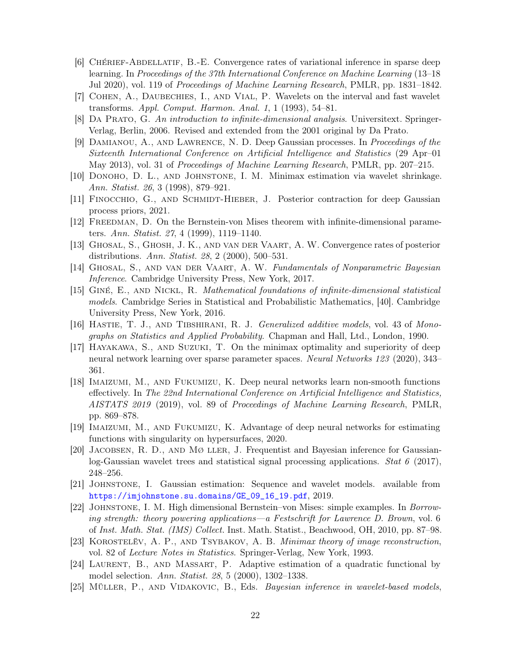- <span id="page-21-2"></span>[6] Chérief-Abdellatif, B.-E. Convergence rates of variational inference in sparse deep learning. In Proceedings of the 37th International Conference on Machine Learning (13–18 Jul 2020), vol. 119 of Proceedings of Machine Learning Research, PMLR, pp. 1831–1842.
- <span id="page-21-14"></span>[7] Cohen, A., Daubechies, I., and Vial, P. Wavelets on the interval and fast wavelet transforms. Appl. Comput. Harmon. Anal. 1, 1 (1993), 54–81.
- <span id="page-21-18"></span>[8] Da Prato, G. An introduction to infinite-dimensional analysis. Universitext. Springer-Verlag, Berlin, 2006. Revised and extended from the 2001 original by Da Prato.
- <span id="page-21-4"></span>[9] Damianou, A., and Lawrence, N. D. Deep Gaussian processes. In Proceedings of the Sixteenth International Conference on Artificial Intelligence and Statistics (29 Apr–01 May 2013), vol. 31 of Proceedings of Machine Learning Research, PMLR, pp. 207–215.
- <span id="page-21-6"></span>[10] Donoho, D. L., and Johnstone, I. M. Minimax estimation via wavelet shrinkage. Ann. Statist. 26, 3 (1998), 879–921.
- <span id="page-21-5"></span>[11] Finocchio, G., and Schmidt-Hieber, J. Posterior contraction for deep Gaussian process priors, 2021.
- <span id="page-21-0"></span>[12] FREEDMAN, D. On the Bernstein-von Mises theorem with infinite-dimensional parameters. Ann. Statist. 27, 4 (1999), 1119–1140.
- <span id="page-21-17"></span>[13] Ghosal, S., Ghosh, J. K., and van der Vaart, A. W. Convergence rates of posterior distributions. Ann. Statist. 28, 2 (2000), 500–531.
- <span id="page-21-3"></span>[14] Ghosal, S., and van der Vaart, A. W. Fundamentals of Nonparametric Bayesian Inference. Cambridge University Press, New York, 2017.
- <span id="page-21-15"></span>[15] Giné, E., and Nickl, R. Mathematical foundations of infinite-dimensional statistical models. Cambridge Series in Statistical and Probabilistic Mathematics, [40]. Cambridge University Press, New York, 2016.
- <span id="page-21-11"></span>[16] HASTIE, T. J., AND TIBSHIRANI, R. J. *Generalized additive models*, vol. 43 of Monographs on Statistics and Applied Probability. Chapman and Hall, Ltd., London, 1990.
- <span id="page-21-8"></span>[17] Hayakawa, S., and Suzuki, T. On the minimax optimality and superiority of deep neural network learning over sparse parameter spaces. Neural Networks 123 (2020), 343– 361.
- [18] Imaizumi, M., and Fukumizu, K. Deep neural networks learn non-smooth functions effectively. In The 22nd International Conference on Artificial Intelligence and Statistics, AISTATS 2019 (2019), vol. 89 of Proceedings of Machine Learning Research, PMLR, pp. 869–878.
- <span id="page-21-9"></span>[19] Imaizumi, M., and Fukumizu, K. Advantage of deep neural networks for estimating functions with singularity on hypersurfaces, 2020.
- <span id="page-21-12"></span>[20] JACOBSEN, R. D., AND  $M\varnothing$  LLER, J. Frequentist and Bayesian inference for Gaussianlog-Gaussian wavelet trees and statistical signal processing applications. Stat 6 (2017), 248–256.
- <span id="page-21-10"></span>[21] Johnstone, I. Gaussian estimation: Sequence and wavelet models. available from [https://imjohnstone.su.domains/GE\\_09\\_16\\_19.pdf](https://imjohnstone.su.domains/GE_09_16_19.pdf), 2019.
- <span id="page-21-1"></span>[22] Johnstone, I. M. High dimensional Bernstein–von Mises: simple examples. In Borrowing strength: theory powering applications—a Festschrift for Lawrence D. Brown, vol. 6 of Inst. Math. Stat. (IMS) Collect. Inst. Math. Statist., Beachwood, OH, 2010, pp. 87–98.
- <span id="page-21-7"></span>[23] KOROSTELËV, A. P., AND TSYBAKOV, A. B. Minimax theory of image reconstruction, vol. 82 of Lecture Notes in Statistics. Springer-Verlag, New York, 1993.
- <span id="page-21-16"></span>[24] Laurent, B., and Massart, P. Adaptive estimation of a quadratic functional by model selection. Ann. Statist. 28, 5 (2000), 1302–1338.
- <span id="page-21-13"></span>[25] MÜLLER, P., AND VIDAKOVIC, B., Eds. *Bayesian inference in wavelet-based models*,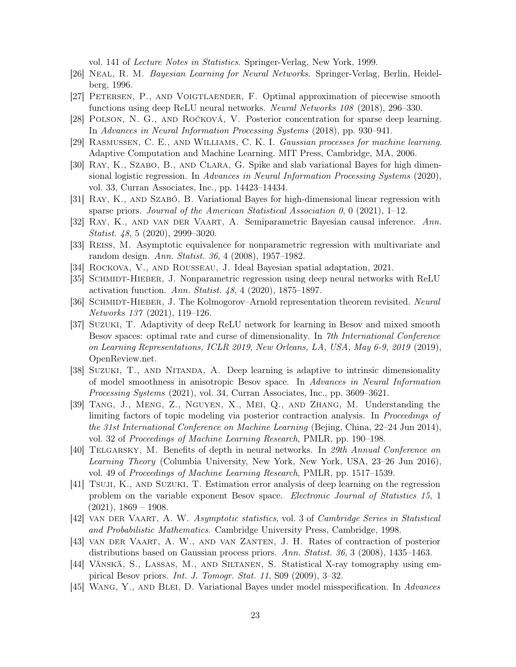vol. 141 of Lecture Notes in Statistics. Springer-Verlag, New York, 1999.

- <span id="page-22-10"></span>[26] Neal, R. M. Bayesian Learning for Neural Networks. Springer-Verlag, Berlin, Heidelberg, 1996.
- <span id="page-22-1"></span>[27] Petersen, P., and Voigtlaender, F. Optimal approximation of piecewise smooth functions using deep ReLU neural networks. Neural Networks 108 (2018), 296–330.
- <span id="page-22-5"></span>[28] Polson, N. G., and Ročková, V. Posterior concentration for sparse deep learning. In Advances in Neural Information Processing Systems (2018), pp. 930–941.
- <span id="page-22-3"></span>[29] Rasmussen, C. E., and Williams, C. K. I. Gaussian processes for machine learning. Adaptive Computation and Machine Learning. MIT Press, Cambridge, MA, 2006.
- <span id="page-22-7"></span>[30] Ray, K., Szabo, B., and Clara, G. Spike and slab variational Bayes for high dimensional logistic regression. In Advances in Neural Information Processing Systems (2020), vol. 33, Curran Associates, Inc., pp. 14423–14434.
- <span id="page-22-8"></span>[31] Ray, K., and Szabó, B. Variational Bayes for high-dimensional linear regression with sparse priors. Journal of the American Statistical Association 0, 0 (2021), 1–12.
- <span id="page-22-18"></span>[32] Ray, K., and van der Vaart, A. Semiparametric Bayesian causal inference. Ann. Statist. 48, 5 (2020), 2999–3020.
- <span id="page-22-15"></span>[33] REISS, M. Asymptotic equivalence for nonparametric regression with multivariate and random design. Ann. Statist. 36, 4 (2008), 1957–1982.
- <span id="page-22-11"></span>[34] Rockova, V., and Rousseau, J. Ideal Bayesian spatial adaptation, 2021.
- <span id="page-22-9"></span>[35] SCHMIDT-HIEBER, J. Nonparametric regression using deep neural networks with ReLU activation function. Ann. Statist. 48, 4 (2020), 1875–1897.
- <span id="page-22-2"></span>[36] SCHMIDT-HIEBER, J. The Kolmogorov–Arnold representation theorem revisited. Neural Networks 137 (2021), 119–126.
- <span id="page-22-12"></span>[37] Suzuki, T. Adaptivity of deep ReLU network for learning in Besov and mixed smooth Besov spaces: optimal rate and curse of dimensionality. In 7th International Conference on Learning Representations, ICLR 2019, New Orleans, LA, USA, May 6-9, 2019 (2019), OpenReview.net.
- <span id="page-22-13"></span>[38] Suzuki, T., and Nitanda, A. Deep learning is adaptive to intrinsic dimensionality of model smoothness in anisotropic Besov space. In Advances in Neural Information Processing Systems (2021), vol. 34, Curran Associates, Inc., pp. 3609–3621.
- <span id="page-22-4"></span>[39] Tang, J., Meng, Z., Nguyen, X., Mei, Q., and Zhang, M. Understanding the limiting factors of topic modeling via posterior contraction analysis. In Proceedings of the 31st International Conference on Machine Learning (Bejing, China, 22–24 Jun 2014), vol. 32 of Proceedings of Machine Learning Research, PMLR, pp. 190–198.
- <span id="page-22-0"></span>[40] Telgarsky, M. Benefits of depth in neural networks. In 29th Annual Conference on Learning Theory (Columbia University, New York, New York, USA, 23–26 Jun 2016), vol. 49 of Proceedings of Machine Learning Research, PMLR, pp. 1517–1539.
- <span id="page-22-14"></span>[41] Tsuji, K., and Suzuki, T. Estimation error analysis of deep learning on the regression problem on the variable exponent Besov space. Electronic Journal of Statistics 15, 1  $(2021), 1869 - 1908.$
- <span id="page-22-17"></span>[42] van der Vaart, A. W. Asymptotic statistics, vol. 3 of Cambridge Series in Statistical and Probabilistic Mathematics. Cambridge University Press, Cambridge, 1998.
- <span id="page-22-16"></span>[43] van der Vaart, A. W., and van Zanten, J. H. Rates of contraction of posterior distributions based on Gaussian process priors. Ann. Statist. 36, 3 (2008), 1435–1463.
- <span id="page-22-19"></span>[44] Vänskä, S., Lassas, M., and Siltanen, S. Statistical X-ray tomography using empirical Besov priors. Int. J. Tomogr. Stat. 11, S09 (2009), 3–32.
- <span id="page-22-6"></span>[45] Wang, Y., and Blei, D. Variational Bayes under model misspecification. In Advances